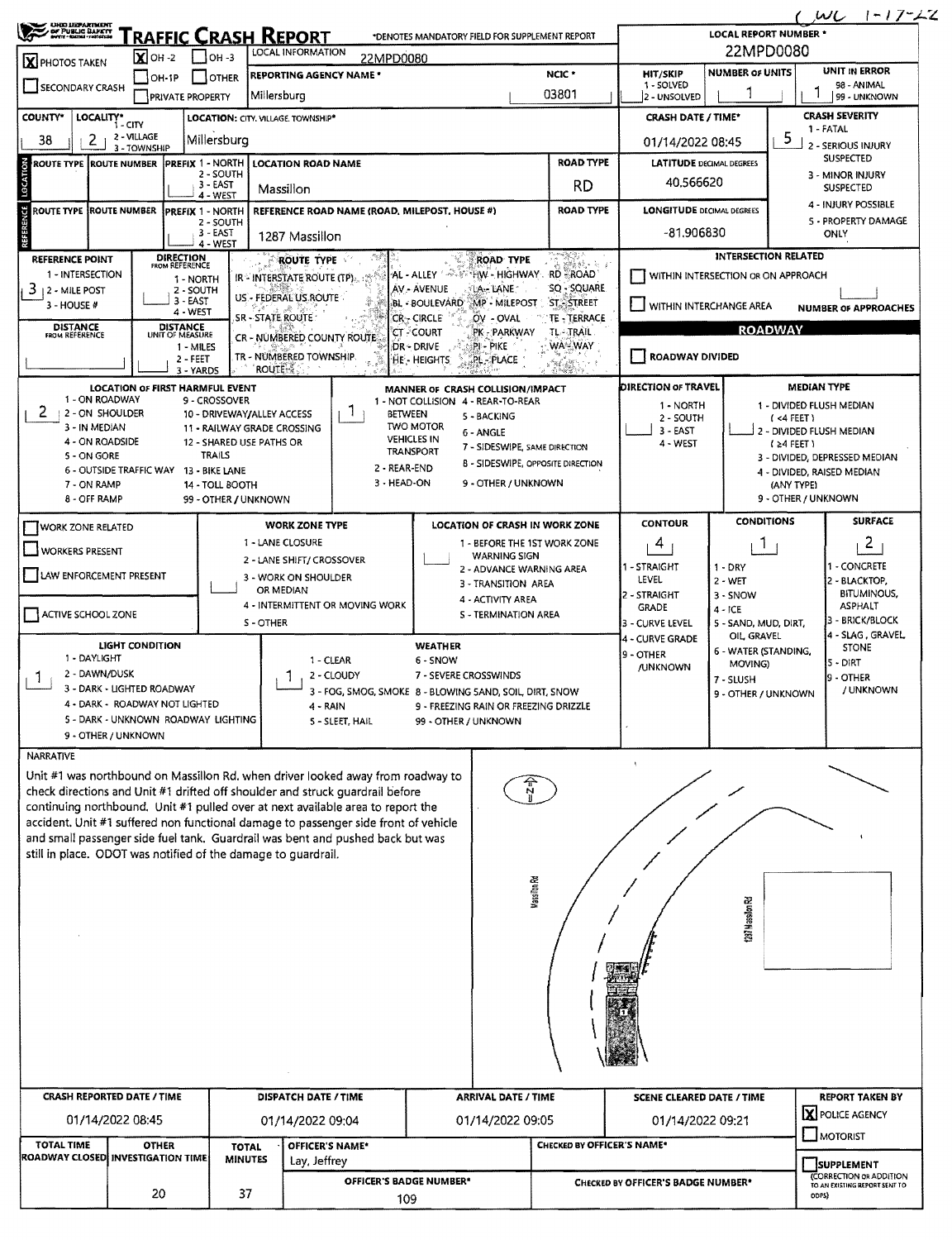| 22MPD0080<br><b>LOCAL INFORMATION</b><br>$\overline{\mathbf{X}}$ OH -2<br>$1$ OH 3<br>22MPD0080<br><b>UNIT IN ERROR</b><br><b>NUMBER OF UNITS</b><br>NCIC <sup>*</sup><br><b>HIT/SKIP</b><br><b>REPORTING AGENCY NAME *</b><br><b>SUCTER</b><br>$IOH-1P$<br>1 - SOLVED<br>98 - ANIMAL<br>03801<br>Millersburg<br><b>PRIVATE PROPERTY</b><br>2 - UNSOLVED<br>99 - UNKNOWN<br><b>CRASH SEVERITY</b><br>LOCALITY*<br><b>CRASH DATE / TIME*</b><br>LOCATION: CITY. VILLAGE. TOWNSHIP*<br>$1 - CITY$<br>1 - FATAL<br>2 - VILLAGE<br>5<br>2<br>Millersburg<br>01/14/2022 08:45<br>2 - SERIOUS INJURY<br>3 - TOWNSHIP<br><b>SUSPECTED</b><br><b>ROAD TYPE</b><br><b>PREFIX 1 - NORTH</b><br><b>LATITUDE DECIMAL DEGREES</b><br>LOCATION ROAD NAME<br>2 - SOUTH<br>3 - MINOR INJURY<br>40,566620<br>$3 - EAST$<br>RD<br><b>SUSPECTED</b><br>Massillon<br>4 - WEST<br>4 - INJURY POSSIBLE<br><b>ROAD TYPE</b><br><b>LONGITUDE DECIMAL DEGREES</b><br>REFERENCE ROAD NAME (ROAD, MILEPOST, HOUSE #)<br><b>PREFIX 1 - NORTH</b><br>5 - PROPERTY DAMAGE<br>2 - SOUTH<br>$-81.906830$<br>3 - EAST<br>ONLY<br>1287 Massillon<br>4 - WEST<br>INTERSECTION RELATED<br><b>DIRECTION</b><br><b>ROAD TYPE</b><br>ROUTE TYPE<br><b>FROM REFERENCE</b><br>1 - INTERSECTION<br>AL - ALLEY ARE HW - HIGHWAY RD ROAD<br>WITHIN INTERSECTION OR ON APPROACH<br>IR - INTERSTATE ROUTE (TP)<br>1 - NORTH<br>SQ - SQUARE<br>ÄV - AVENUE<br>LA-LANE<br>2 - SOUTH<br>US - FEDERAL US ROUTE<br>3 - EAST<br><b>ST. STREET</b><br>BL - BOULEVARD MP - MILEPOST<br>U WITHIN INTERCHANGE AREA<br>4 - WEST<br>SR - STATE ROUTE<br><b>CR-- CIRCLE</b><br>OV - OVAL<br>TE-TERRACE<br><b>DISTANCE</b><br><b>DISTANCE</b><br><b>ROADWAY</b><br><b>TL-TRAIL</b><br>PK - PARKWAY<br>'CT - COURT<br>FROM REFERENCE<br>UNIT OF MEASURE<br>CR - NUMBERED COUNTY ROUTE<br>WA-WAY<br>DR - DRIVE<br>PI - PIKE<br>1 - MILES<br>ROADWAY DIVIDED<br>TR - NUMBERED TOWNSHIP.<br>$2 - FEET$<br>HE . HEIGHTS<br>PL-PLACE<br><b>ROUTE</b><br>3 - YARDS<br>DIRECTION OF TRAVEL<br><b>MEDIAN TYPE</b><br><b>LOCATION OF FIRST HARMFUL EVENT</b><br>MANNER OF CRASH COLLISION/IMPACT<br>1 - ON ROADWAY<br>9 - CROSSOVER<br>1 - NOT COLLISION 4 - REAR-TO-REAR<br>1 - DIVIDED FLUSH MEDIAN<br>1 - NORTH<br>Т.<br><b>12 - ON SHOULDER</b><br>10 - DRIVEWAY/ALLEY ACCESS<br><b>BETWEEN</b><br>5 - BACKING<br>2 - SOUTH<br>$(4$ FEET)<br><b>TWO MOTOR</b><br>3 - IN MEDIAN<br>11 - RAILWAY GRADE CROSSING<br>3 - EAST<br>2 - DIVIDED FLUSH MEDIAN<br>6 - ANGLE<br><b>VEHICLES IN</b><br>4 - ON ROADSIDE<br>12 - SHARED USE PATHS OR<br>4 - WEST<br>$(24$ FEET)<br>7 - SIDESWIPE, SAME DIRECTION<br><b>TRANSPORT</b><br>5 - ON GORE<br><b>TRAILS</b><br>3 - DIVIDED, DEPRESSED MEDIAN<br><b>B - SIDESWIPE, OPPOSITE DIRECTION</b><br>2 - REAR-END<br>6 - OUTSIDE TRAFFIC WAY 13 - BIKE LANE<br>4 - DIVIDED, RAISED MEDIAN<br>3 - HEAD-ON<br>9 - OTHER / UNKNOWN<br>7 - ON RAMP<br>14 - TOLL BOOTH<br>(ANY TYPE)<br>8 - OFF RAMP<br>9 - OTHER / UNKNOWN<br>99 - OTHER / UNKNOWN<br><b>SURFACE</b><br><b>CONDITIONS</b><br><b>CONTOUR</b><br><b>LOCATION OF CRASH IN WORK ZONE</b><br><b>WORK ZONE TYPE</b><br><b>I WORK ZONE RELATED</b><br>2<br>1 - LANE CLOSURE<br>1 - BEFORE THE 1ST WORK ZONE<br>4<br>Т.<br>WORKERS PRESENT<br><b>WARNING SIGN</b><br>2 - LANE SHIFT/ CROSSOVER<br>1 - CONCRETE<br>1 - STRAIGHT<br>$1 - DRY$<br>2 - ADVANCE WARNING AREA<br>LAW ENFORCEMENT PRESENT<br>3 - WORK ON SHOULDER<br>LEVEL<br>2 - BLACKTOP,<br>2 - WET<br>3 - TRANSITION AREA<br>OR MEDIAN<br><b>BITUMINOUS,</b><br>2 - STRAIGHT<br>3 - SNOW<br>4 - ACTIVITY AREA<br>4 - INTERMITTENT OR MOVING WORK<br><b>ASPHALT</b><br><b>GRADE</b><br>$4 - ICE$<br><b>S - TERMINATION AREA</b><br>3 - BRICK/BLOCK<br>S-OTHER<br>3 - CURVE LEVEL<br>5 - SAND, MUD, DIRT,<br>OIL GRAVEL<br>4 - CURVE GRADE<br><b>LIGHT CONDITION</b><br><b>WEATHER</b><br><b>STONE</b><br>6 - WATER (STANDING,<br>9 - OTHER<br>1 - DAYLIGHT<br>1 - CLEAR<br>6 - SNOW<br>5 - DIRT<br>MOVING)<br><b>/UNKNOWN</b><br>2 - DAWN/DUSK<br>7 - SEVERE CROSSWINDS<br>2 - CLOUDY<br>1<br>19 - OTHER<br>7 - SLUSH<br>3 - DARK - LIGHTED ROADWAY<br>/ UNKNOWN<br>3 - FOG, SMOG, SMOKE 8 - BLOWING 5AND, SOIL, DIRT, SNOW<br>9 - OTHER / UNKNOWN<br>4 - DARK - ROADWAY NOT LIGHTED<br>- FREEZING RAIN OR FREEZING DRIZZLE<br>4 - RAIN<br>5 - DARK - UNKNOWN ROADWAY LIGHTING<br>5 - SLEET, HAIL<br>99 - OTHER / UNKNOWN<br>9 - OTHER / UNKNOWN<br>Unit #1 was northbound on Massillon Rd. when driver looked away from roadway to<br>check directions and Unit #1 drifted off shoulder and struck guardrail before<br>continuing northbound. Unit #1 pulled over at next available area to report the<br>accident. Unit #1 suffered non functional damage to passenger side front of vehicle<br>and small passenger side fuel tank. Guardrail was bent and pushed back but was<br>still in place. ODOT was notified of the damage to guardrail.<br><b>Massilion Rd</b><br><b>Call Massilve Rd</b><br><b>CRASH REPORTED DATE / TIME</b><br>DISPATCH DATE / TIME<br><b>REPORT TAKEN BY</b><br><b>ARRIVAL DATE / TIME</b><br><b>SCENE CLEARED DATE / TIME</b><br>X POLICE AGENCY<br>01/14/2022 08:45<br>01/14/2022 09:05<br>01/14/2022 09:21<br>01/14/2022 09:04<br>$\square$ MOTORIST<br>OFFICER'S NAME*<br><b>CHECKED BY OFFICER'S NAME*</b><br><b>OTHER</b><br><b>TOTAL</b><br><b>MINUTES</b><br>Lay, Jeffrey<br><b>SUPPLEMENT</b><br>(CORRECTION OR ADDITION<br>OFFICER'S BADGE NUMBER*<br>CHECKED BY OFFICER'S BADGE NUMBER*<br>TO AN EXISTING REPORT SENT TO<br>37 | <b>UHIO LIEPARTMENT</b><br>DE PUBLIC BARKYT<br>BOYT - SKOLL TROUISE |                          |    |  | <b>FRAFFIC CRASH REPORT</b> |  | *DENOTES MANDATORY FIELD FOR SUPPLEMENT REPORT |  |  | <b>LOCAL REPORT NUMBER *</b> |       | $1 - 17 - 2$      |  |  |
|----------------------------------------------------------------------------------------------------------------------------------------------------------------------------------------------------------------------------------------------------------------------------------------------------------------------------------------------------------------------------------------------------------------------------------------------------------------------------------------------------------------------------------------------------------------------------------------------------------------------------------------------------------------------------------------------------------------------------------------------------------------------------------------------------------------------------------------------------------------------------------------------------------------------------------------------------------------------------------------------------------------------------------------------------------------------------------------------------------------------------------------------------------------------------------------------------------------------------------------------------------------------------------------------------------------------------------------------------------------------------------------------------------------------------------------------------------------------------------------------------------------------------------------------------------------------------------------------------------------------------------------------------------------------------------------------------------------------------------------------------------------------------------------------------------------------------------------------------------------------------------------------------------------------------------------------------------------------------------------------------------------------------------------------------------------------------------------------------------------------------------------------------------------------------------------------------------------------------------------------------------------------------------------------------------------------------------------------------------------------------------------------------------------------------------------------------------------------------------------------------------------------------------------------------------------------------------------------------------------------------------------------------------------------------------------------------------------------------------------------------------------------------------------------------------------------------------------------------------------------------------------------------------------------------------------------------------------------------------------------------------------------------------------------------------------------------------------------------------------------------------------------------------------------------------------------------------------------------------------------------------------------------------------------------------------------------------------------------------------------------------------------------------------------------------------------------------------------------------------------------------------------------------------------------------------------------------------------------------------------------------------------------------------------------------------------------------------------------------------------------------------------------------------------------------------------------------------------------------------------------------------------------------------------------------------------------------------------------------------------------------------------------------------------------------------------------------------------------------------------------------------------------------------------------------------------------------------------------------------------------------------------------------------------------------------------------------------------------------------------------------------------------------------------------------------------------------------------------------------------------------------------------------------------------------------------------------------------------------------------------------------------------------------------------------------------------------------------------------------------------------------------------------------------------------------------------------------------------------------------------------------------------------------------------------------------------------------------------------------------------------------------------------------------------------------------------------------------------------------------------------------------------------------------------------------------------------------------------------------------------------------------------------------------------------------------------------------------------------------------------------------------------------------------------------------------------------------------------------------------------------------------------------------------------------|---------------------------------------------------------------------|--------------------------|----|--|-----------------------------|--|------------------------------------------------|--|--|------------------------------|-------|-------------------|--|--|
|                                                                                                                                                                                                                                                                                                                                                                                                                                                                                                                                                                                                                                                                                                                                                                                                                                                                                                                                                                                                                                                                                                                                                                                                                                                                                                                                                                                                                                                                                                                                                                                                                                                                                                                                                                                                                                                                                                                                                                                                                                                                                                                                                                                                                                                                                                                                                                                                                                                                                                                                                                                                                                                                                                                                                                                                                                                                                                                                                                                                                                                                                                                                                                                                                                                                                                                                                                                                                                                                                                                                                                                                                                                                                                                                                                                                                                                                                                                                                                                                                                                                                                                                                                                                                                                                                                                                                                                                                                                                                                                                                                                                                                                                                                                                                                                                                                                                                                                                                                                                                                                                                                                                                                                                                                                                                                                                                                                                                                                                                                                                                          | <b>X</b> PHOTOS TAKEN                                               |                          |    |  |                             |  |                                                |  |  |                              |       |                   |  |  |
|                                                                                                                                                                                                                                                                                                                                                                                                                                                                                                                                                                                                                                                                                                                                                                                                                                                                                                                                                                                                                                                                                                                                                                                                                                                                                                                                                                                                                                                                                                                                                                                                                                                                                                                                                                                                                                                                                                                                                                                                                                                                                                                                                                                                                                                                                                                                                                                                                                                                                                                                                                                                                                                                                                                                                                                                                                                                                                                                                                                                                                                                                                                                                                                                                                                                                                                                                                                                                                                                                                                                                                                                                                                                                                                                                                                                                                                                                                                                                                                                                                                                                                                                                                                                                                                                                                                                                                                                                                                                                                                                                                                                                                                                                                                                                                                                                                                                                                                                                                                                                                                                                                                                                                                                                                                                                                                                                                                                                                                                                                                                                          | SECONDARY CRASH                                                     |                          |    |  |                             |  |                                                |  |  |                              |       |                   |  |  |
|                                                                                                                                                                                                                                                                                                                                                                                                                                                                                                                                                                                                                                                                                                                                                                                                                                                                                                                                                                                                                                                                                                                                                                                                                                                                                                                                                                                                                                                                                                                                                                                                                                                                                                                                                                                                                                                                                                                                                                                                                                                                                                                                                                                                                                                                                                                                                                                                                                                                                                                                                                                                                                                                                                                                                                                                                                                                                                                                                                                                                                                                                                                                                                                                                                                                                                                                                                                                                                                                                                                                                                                                                                                                                                                                                                                                                                                                                                                                                                                                                                                                                                                                                                                                                                                                                                                                                                                                                                                                                                                                                                                                                                                                                                                                                                                                                                                                                                                                                                                                                                                                                                                                                                                                                                                                                                                                                                                                                                                                                                                                                          | <b>COUNTY*</b>                                                      |                          |    |  |                             |  |                                                |  |  |                              |       |                   |  |  |
|                                                                                                                                                                                                                                                                                                                                                                                                                                                                                                                                                                                                                                                                                                                                                                                                                                                                                                                                                                                                                                                                                                                                                                                                                                                                                                                                                                                                                                                                                                                                                                                                                                                                                                                                                                                                                                                                                                                                                                                                                                                                                                                                                                                                                                                                                                                                                                                                                                                                                                                                                                                                                                                                                                                                                                                                                                                                                                                                                                                                                                                                                                                                                                                                                                                                                                                                                                                                                                                                                                                                                                                                                                                                                                                                                                                                                                                                                                                                                                                                                                                                                                                                                                                                                                                                                                                                                                                                                                                                                                                                                                                                                                                                                                                                                                                                                                                                                                                                                                                                                                                                                                                                                                                                                                                                                                                                                                                                                                                                                                                                                          | 38                                                                  |                          |    |  |                             |  |                                                |  |  |                              |       |                   |  |  |
|                                                                                                                                                                                                                                                                                                                                                                                                                                                                                                                                                                                                                                                                                                                                                                                                                                                                                                                                                                                                                                                                                                                                                                                                                                                                                                                                                                                                                                                                                                                                                                                                                                                                                                                                                                                                                                                                                                                                                                                                                                                                                                                                                                                                                                                                                                                                                                                                                                                                                                                                                                                                                                                                                                                                                                                                                                                                                                                                                                                                                                                                                                                                                                                                                                                                                                                                                                                                                                                                                                                                                                                                                                                                                                                                                                                                                                                                                                                                                                                                                                                                                                                                                                                                                                                                                                                                                                                                                                                                                                                                                                                                                                                                                                                                                                                                                                                                                                                                                                                                                                                                                                                                                                                                                                                                                                                                                                                                                                                                                                                                                          |                                                                     | ROUTE TYPE  ROUTE NUMBER |    |  |                             |  |                                                |  |  |                              |       |                   |  |  |
|                                                                                                                                                                                                                                                                                                                                                                                                                                                                                                                                                                                                                                                                                                                                                                                                                                                                                                                                                                                                                                                                                                                                                                                                                                                                                                                                                                                                                                                                                                                                                                                                                                                                                                                                                                                                                                                                                                                                                                                                                                                                                                                                                                                                                                                                                                                                                                                                                                                                                                                                                                                                                                                                                                                                                                                                                                                                                                                                                                                                                                                                                                                                                                                                                                                                                                                                                                                                                                                                                                                                                                                                                                                                                                                                                                                                                                                                                                                                                                                                                                                                                                                                                                                                                                                                                                                                                                                                                                                                                                                                                                                                                                                                                                                                                                                                                                                                                                                                                                                                                                                                                                                                                                                                                                                                                                                                                                                                                                                                                                                                                          |                                                                     |                          |    |  |                             |  |                                                |  |  |                              |       |                   |  |  |
|                                                                                                                                                                                                                                                                                                                                                                                                                                                                                                                                                                                                                                                                                                                                                                                                                                                                                                                                                                                                                                                                                                                                                                                                                                                                                                                                                                                                                                                                                                                                                                                                                                                                                                                                                                                                                                                                                                                                                                                                                                                                                                                                                                                                                                                                                                                                                                                                                                                                                                                                                                                                                                                                                                                                                                                                                                                                                                                                                                                                                                                                                                                                                                                                                                                                                                                                                                                                                                                                                                                                                                                                                                                                                                                                                                                                                                                                                                                                                                                                                                                                                                                                                                                                                                                                                                                                                                                                                                                                                                                                                                                                                                                                                                                                                                                                                                                                                                                                                                                                                                                                                                                                                                                                                                                                                                                                                                                                                                                                                                                                                          | LOCATION<br><b>REFERENCE</b><br><b>ROUTE TYPE ROUTE NUMBER</b>      |                          |    |  |                             |  |                                                |  |  |                              |       |                   |  |  |
|                                                                                                                                                                                                                                                                                                                                                                                                                                                                                                                                                                                                                                                                                                                                                                                                                                                                                                                                                                                                                                                                                                                                                                                                                                                                                                                                                                                                                                                                                                                                                                                                                                                                                                                                                                                                                                                                                                                                                                                                                                                                                                                                                                                                                                                                                                                                                                                                                                                                                                                                                                                                                                                                                                                                                                                                                                                                                                                                                                                                                                                                                                                                                                                                                                                                                                                                                                                                                                                                                                                                                                                                                                                                                                                                                                                                                                                                                                                                                                                                                                                                                                                                                                                                                                                                                                                                                                                                                                                                                                                                                                                                                                                                                                                                                                                                                                                                                                                                                                                                                                                                                                                                                                                                                                                                                                                                                                                                                                                                                                                                                          |                                                                     |                          |    |  |                             |  |                                                |  |  |                              |       |                   |  |  |
|                                                                                                                                                                                                                                                                                                                                                                                                                                                                                                                                                                                                                                                                                                                                                                                                                                                                                                                                                                                                                                                                                                                                                                                                                                                                                                                                                                                                                                                                                                                                                                                                                                                                                                                                                                                                                                                                                                                                                                                                                                                                                                                                                                                                                                                                                                                                                                                                                                                                                                                                                                                                                                                                                                                                                                                                                                                                                                                                                                                                                                                                                                                                                                                                                                                                                                                                                                                                                                                                                                                                                                                                                                                                                                                                                                                                                                                                                                                                                                                                                                                                                                                                                                                                                                                                                                                                                                                                                                                                                                                                                                                                                                                                                                                                                                                                                                                                                                                                                                                                                                                                                                                                                                                                                                                                                                                                                                                                                                                                                                                                                          | <b>REFERENCE POINT</b>                                              |                          |    |  |                             |  |                                                |  |  |                              |       |                   |  |  |
|                                                                                                                                                                                                                                                                                                                                                                                                                                                                                                                                                                                                                                                                                                                                                                                                                                                                                                                                                                                                                                                                                                                                                                                                                                                                                                                                                                                                                                                                                                                                                                                                                                                                                                                                                                                                                                                                                                                                                                                                                                                                                                                                                                                                                                                                                                                                                                                                                                                                                                                                                                                                                                                                                                                                                                                                                                                                                                                                                                                                                                                                                                                                                                                                                                                                                                                                                                                                                                                                                                                                                                                                                                                                                                                                                                                                                                                                                                                                                                                                                                                                                                                                                                                                                                                                                                                                                                                                                                                                                                                                                                                                                                                                                                                                                                                                                                                                                                                                                                                                                                                                                                                                                                                                                                                                                                                                                                                                                                                                                                                                                          | 3<br>  2 - MILE POST                                                |                          |    |  |                             |  |                                                |  |  |                              |       |                   |  |  |
|                                                                                                                                                                                                                                                                                                                                                                                                                                                                                                                                                                                                                                                                                                                                                                                                                                                                                                                                                                                                                                                                                                                                                                                                                                                                                                                                                                                                                                                                                                                                                                                                                                                                                                                                                                                                                                                                                                                                                                                                                                                                                                                                                                                                                                                                                                                                                                                                                                                                                                                                                                                                                                                                                                                                                                                                                                                                                                                                                                                                                                                                                                                                                                                                                                                                                                                                                                                                                                                                                                                                                                                                                                                                                                                                                                                                                                                                                                                                                                                                                                                                                                                                                                                                                                                                                                                                                                                                                                                                                                                                                                                                                                                                                                                                                                                                                                                                                                                                                                                                                                                                                                                                                                                                                                                                                                                                                                                                                                                                                                                                                          | 3 - HOUSE #                                                         |                          |    |  |                             |  | <b>NUMBER OF APPROACHES</b>                    |  |  |                              |       |                   |  |  |
|                                                                                                                                                                                                                                                                                                                                                                                                                                                                                                                                                                                                                                                                                                                                                                                                                                                                                                                                                                                                                                                                                                                                                                                                                                                                                                                                                                                                                                                                                                                                                                                                                                                                                                                                                                                                                                                                                                                                                                                                                                                                                                                                                                                                                                                                                                                                                                                                                                                                                                                                                                                                                                                                                                                                                                                                                                                                                                                                                                                                                                                                                                                                                                                                                                                                                                                                                                                                                                                                                                                                                                                                                                                                                                                                                                                                                                                                                                                                                                                                                                                                                                                                                                                                                                                                                                                                                                                                                                                                                                                                                                                                                                                                                                                                                                                                                                                                                                                                                                                                                                                                                                                                                                                                                                                                                                                                                                                                                                                                                                                                                          |                                                                     |                          |    |  |                             |  |                                                |  |  |                              |       |                   |  |  |
|                                                                                                                                                                                                                                                                                                                                                                                                                                                                                                                                                                                                                                                                                                                                                                                                                                                                                                                                                                                                                                                                                                                                                                                                                                                                                                                                                                                                                                                                                                                                                                                                                                                                                                                                                                                                                                                                                                                                                                                                                                                                                                                                                                                                                                                                                                                                                                                                                                                                                                                                                                                                                                                                                                                                                                                                                                                                                                                                                                                                                                                                                                                                                                                                                                                                                                                                                                                                                                                                                                                                                                                                                                                                                                                                                                                                                                                                                                                                                                                                                                                                                                                                                                                                                                                                                                                                                                                                                                                                                                                                                                                                                                                                                                                                                                                                                                                                                                                                                                                                                                                                                                                                                                                                                                                                                                                                                                                                                                                                                                                                                          |                                                                     |                          |    |  |                             |  |                                                |  |  |                              |       |                   |  |  |
|                                                                                                                                                                                                                                                                                                                                                                                                                                                                                                                                                                                                                                                                                                                                                                                                                                                                                                                                                                                                                                                                                                                                                                                                                                                                                                                                                                                                                                                                                                                                                                                                                                                                                                                                                                                                                                                                                                                                                                                                                                                                                                                                                                                                                                                                                                                                                                                                                                                                                                                                                                                                                                                                                                                                                                                                                                                                                                                                                                                                                                                                                                                                                                                                                                                                                                                                                                                                                                                                                                                                                                                                                                                                                                                                                                                                                                                                                                                                                                                                                                                                                                                                                                                                                                                                                                                                                                                                                                                                                                                                                                                                                                                                                                                                                                                                                                                                                                                                                                                                                                                                                                                                                                                                                                                                                                                                                                                                                                                                                                                                                          |                                                                     |                          |    |  |                             |  |                                                |  |  |                              |       |                   |  |  |
|                                                                                                                                                                                                                                                                                                                                                                                                                                                                                                                                                                                                                                                                                                                                                                                                                                                                                                                                                                                                                                                                                                                                                                                                                                                                                                                                                                                                                                                                                                                                                                                                                                                                                                                                                                                                                                                                                                                                                                                                                                                                                                                                                                                                                                                                                                                                                                                                                                                                                                                                                                                                                                                                                                                                                                                                                                                                                                                                                                                                                                                                                                                                                                                                                                                                                                                                                                                                                                                                                                                                                                                                                                                                                                                                                                                                                                                                                                                                                                                                                                                                                                                                                                                                                                                                                                                                                                                                                                                                                                                                                                                                                                                                                                                                                                                                                                                                                                                                                                                                                                                                                                                                                                                                                                                                                                                                                                                                                                                                                                                                                          |                                                                     |                          |    |  |                             |  |                                                |  |  |                              |       |                   |  |  |
|                                                                                                                                                                                                                                                                                                                                                                                                                                                                                                                                                                                                                                                                                                                                                                                                                                                                                                                                                                                                                                                                                                                                                                                                                                                                                                                                                                                                                                                                                                                                                                                                                                                                                                                                                                                                                                                                                                                                                                                                                                                                                                                                                                                                                                                                                                                                                                                                                                                                                                                                                                                                                                                                                                                                                                                                                                                                                                                                                                                                                                                                                                                                                                                                                                                                                                                                                                                                                                                                                                                                                                                                                                                                                                                                                                                                                                                                                                                                                                                                                                                                                                                                                                                                                                                                                                                                                                                                                                                                                                                                                                                                                                                                                                                                                                                                                                                                                                                                                                                                                                                                                                                                                                                                                                                                                                                                                                                                                                                                                                                                                          | $\mathbf{z}$                                                        |                          |    |  |                             |  |                                                |  |  |                              |       |                   |  |  |
|                                                                                                                                                                                                                                                                                                                                                                                                                                                                                                                                                                                                                                                                                                                                                                                                                                                                                                                                                                                                                                                                                                                                                                                                                                                                                                                                                                                                                                                                                                                                                                                                                                                                                                                                                                                                                                                                                                                                                                                                                                                                                                                                                                                                                                                                                                                                                                                                                                                                                                                                                                                                                                                                                                                                                                                                                                                                                                                                                                                                                                                                                                                                                                                                                                                                                                                                                                                                                                                                                                                                                                                                                                                                                                                                                                                                                                                                                                                                                                                                                                                                                                                                                                                                                                                                                                                                                                                                                                                                                                                                                                                                                                                                                                                                                                                                                                                                                                                                                                                                                                                                                                                                                                                                                                                                                                                                                                                                                                                                                                                                                          |                                                                     |                          |    |  |                             |  |                                                |  |  |                              |       |                   |  |  |
|                                                                                                                                                                                                                                                                                                                                                                                                                                                                                                                                                                                                                                                                                                                                                                                                                                                                                                                                                                                                                                                                                                                                                                                                                                                                                                                                                                                                                                                                                                                                                                                                                                                                                                                                                                                                                                                                                                                                                                                                                                                                                                                                                                                                                                                                                                                                                                                                                                                                                                                                                                                                                                                                                                                                                                                                                                                                                                                                                                                                                                                                                                                                                                                                                                                                                                                                                                                                                                                                                                                                                                                                                                                                                                                                                                                                                                                                                                                                                                                                                                                                                                                                                                                                                                                                                                                                                                                                                                                                                                                                                                                                                                                                                                                                                                                                                                                                                                                                                                                                                                                                                                                                                                                                                                                                                                                                                                                                                                                                                                                                                          |                                                                     |                          |    |  |                             |  |                                                |  |  |                              |       |                   |  |  |
|                                                                                                                                                                                                                                                                                                                                                                                                                                                                                                                                                                                                                                                                                                                                                                                                                                                                                                                                                                                                                                                                                                                                                                                                                                                                                                                                                                                                                                                                                                                                                                                                                                                                                                                                                                                                                                                                                                                                                                                                                                                                                                                                                                                                                                                                                                                                                                                                                                                                                                                                                                                                                                                                                                                                                                                                                                                                                                                                                                                                                                                                                                                                                                                                                                                                                                                                                                                                                                                                                                                                                                                                                                                                                                                                                                                                                                                                                                                                                                                                                                                                                                                                                                                                                                                                                                                                                                                                                                                                                                                                                                                                                                                                                                                                                                                                                                                                                                                                                                                                                                                                                                                                                                                                                                                                                                                                                                                                                                                                                                                                                          |                                                                     |                          |    |  |                             |  |                                                |  |  |                              |       |                   |  |  |
|                                                                                                                                                                                                                                                                                                                                                                                                                                                                                                                                                                                                                                                                                                                                                                                                                                                                                                                                                                                                                                                                                                                                                                                                                                                                                                                                                                                                                                                                                                                                                                                                                                                                                                                                                                                                                                                                                                                                                                                                                                                                                                                                                                                                                                                                                                                                                                                                                                                                                                                                                                                                                                                                                                                                                                                                                                                                                                                                                                                                                                                                                                                                                                                                                                                                                                                                                                                                                                                                                                                                                                                                                                                                                                                                                                                                                                                                                                                                                                                                                                                                                                                                                                                                                                                                                                                                                                                                                                                                                                                                                                                                                                                                                                                                                                                                                                                                                                                                                                                                                                                                                                                                                                                                                                                                                                                                                                                                                                                                                                                                                          |                                                                     |                          |    |  |                             |  |                                                |  |  |                              |       |                   |  |  |
|                                                                                                                                                                                                                                                                                                                                                                                                                                                                                                                                                                                                                                                                                                                                                                                                                                                                                                                                                                                                                                                                                                                                                                                                                                                                                                                                                                                                                                                                                                                                                                                                                                                                                                                                                                                                                                                                                                                                                                                                                                                                                                                                                                                                                                                                                                                                                                                                                                                                                                                                                                                                                                                                                                                                                                                                                                                                                                                                                                                                                                                                                                                                                                                                                                                                                                                                                                                                                                                                                                                                                                                                                                                                                                                                                                                                                                                                                                                                                                                                                                                                                                                                                                                                                                                                                                                                                                                                                                                                                                                                                                                                                                                                                                                                                                                                                                                                                                                                                                                                                                                                                                                                                                                                                                                                                                                                                                                                                                                                                                                                                          |                                                                     |                          |    |  |                             |  |                                                |  |  |                              |       |                   |  |  |
|                                                                                                                                                                                                                                                                                                                                                                                                                                                                                                                                                                                                                                                                                                                                                                                                                                                                                                                                                                                                                                                                                                                                                                                                                                                                                                                                                                                                                                                                                                                                                                                                                                                                                                                                                                                                                                                                                                                                                                                                                                                                                                                                                                                                                                                                                                                                                                                                                                                                                                                                                                                                                                                                                                                                                                                                                                                                                                                                                                                                                                                                                                                                                                                                                                                                                                                                                                                                                                                                                                                                                                                                                                                                                                                                                                                                                                                                                                                                                                                                                                                                                                                                                                                                                                                                                                                                                                                                                                                                                                                                                                                                                                                                                                                                                                                                                                                                                                                                                                                                                                                                                                                                                                                                                                                                                                                                                                                                                                                                                                                                                          |                                                                     |                          |    |  |                             |  |                                                |  |  |                              |       |                   |  |  |
|                                                                                                                                                                                                                                                                                                                                                                                                                                                                                                                                                                                                                                                                                                                                                                                                                                                                                                                                                                                                                                                                                                                                                                                                                                                                                                                                                                                                                                                                                                                                                                                                                                                                                                                                                                                                                                                                                                                                                                                                                                                                                                                                                                                                                                                                                                                                                                                                                                                                                                                                                                                                                                                                                                                                                                                                                                                                                                                                                                                                                                                                                                                                                                                                                                                                                                                                                                                                                                                                                                                                                                                                                                                                                                                                                                                                                                                                                                                                                                                                                                                                                                                                                                                                                                                                                                                                                                                                                                                                                                                                                                                                                                                                                                                                                                                                                                                                                                                                                                                                                                                                                                                                                                                                                                                                                                                                                                                                                                                                                                                                                          |                                                                     |                          |    |  |                             |  |                                                |  |  |                              |       |                   |  |  |
|                                                                                                                                                                                                                                                                                                                                                                                                                                                                                                                                                                                                                                                                                                                                                                                                                                                                                                                                                                                                                                                                                                                                                                                                                                                                                                                                                                                                                                                                                                                                                                                                                                                                                                                                                                                                                                                                                                                                                                                                                                                                                                                                                                                                                                                                                                                                                                                                                                                                                                                                                                                                                                                                                                                                                                                                                                                                                                                                                                                                                                                                                                                                                                                                                                                                                                                                                                                                                                                                                                                                                                                                                                                                                                                                                                                                                                                                                                                                                                                                                                                                                                                                                                                                                                                                                                                                                                                                                                                                                                                                                                                                                                                                                                                                                                                                                                                                                                                                                                                                                                                                                                                                                                                                                                                                                                                                                                                                                                                                                                                                                          |                                                                     |                          |    |  |                             |  |                                                |  |  |                              |       |                   |  |  |
|                                                                                                                                                                                                                                                                                                                                                                                                                                                                                                                                                                                                                                                                                                                                                                                                                                                                                                                                                                                                                                                                                                                                                                                                                                                                                                                                                                                                                                                                                                                                                                                                                                                                                                                                                                                                                                                                                                                                                                                                                                                                                                                                                                                                                                                                                                                                                                                                                                                                                                                                                                                                                                                                                                                                                                                                                                                                                                                                                                                                                                                                                                                                                                                                                                                                                                                                                                                                                                                                                                                                                                                                                                                                                                                                                                                                                                                                                                                                                                                                                                                                                                                                                                                                                                                                                                                                                                                                                                                                                                                                                                                                                                                                                                                                                                                                                                                                                                                                                                                                                                                                                                                                                                                                                                                                                                                                                                                                                                                                                                                                                          | ACTIVE SCHOOL ZONE                                                  |                          |    |  |                             |  |                                                |  |  |                              |       |                   |  |  |
|                                                                                                                                                                                                                                                                                                                                                                                                                                                                                                                                                                                                                                                                                                                                                                                                                                                                                                                                                                                                                                                                                                                                                                                                                                                                                                                                                                                                                                                                                                                                                                                                                                                                                                                                                                                                                                                                                                                                                                                                                                                                                                                                                                                                                                                                                                                                                                                                                                                                                                                                                                                                                                                                                                                                                                                                                                                                                                                                                                                                                                                                                                                                                                                                                                                                                                                                                                                                                                                                                                                                                                                                                                                                                                                                                                                                                                                                                                                                                                                                                                                                                                                                                                                                                                                                                                                                                                                                                                                                                                                                                                                                                                                                                                                                                                                                                                                                                                                                                                                                                                                                                                                                                                                                                                                                                                                                                                                                                                                                                                                                                          |                                                                     |                          |    |  |                             |  |                                                |  |  |                              |       | 4 - SLAG , GRAVEL |  |  |
|                                                                                                                                                                                                                                                                                                                                                                                                                                                                                                                                                                                                                                                                                                                                                                                                                                                                                                                                                                                                                                                                                                                                                                                                                                                                                                                                                                                                                                                                                                                                                                                                                                                                                                                                                                                                                                                                                                                                                                                                                                                                                                                                                                                                                                                                                                                                                                                                                                                                                                                                                                                                                                                                                                                                                                                                                                                                                                                                                                                                                                                                                                                                                                                                                                                                                                                                                                                                                                                                                                                                                                                                                                                                                                                                                                                                                                                                                                                                                                                                                                                                                                                                                                                                                                                                                                                                                                                                                                                                                                                                                                                                                                                                                                                                                                                                                                                                                                                                                                                                                                                                                                                                                                                                                                                                                                                                                                                                                                                                                                                                                          |                                                                     |                          |    |  |                             |  |                                                |  |  |                              |       |                   |  |  |
|                                                                                                                                                                                                                                                                                                                                                                                                                                                                                                                                                                                                                                                                                                                                                                                                                                                                                                                                                                                                                                                                                                                                                                                                                                                                                                                                                                                                                                                                                                                                                                                                                                                                                                                                                                                                                                                                                                                                                                                                                                                                                                                                                                                                                                                                                                                                                                                                                                                                                                                                                                                                                                                                                                                                                                                                                                                                                                                                                                                                                                                                                                                                                                                                                                                                                                                                                                                                                                                                                                                                                                                                                                                                                                                                                                                                                                                                                                                                                                                                                                                                                                                                                                                                                                                                                                                                                                                                                                                                                                                                                                                                                                                                                                                                                                                                                                                                                                                                                                                                                                                                                                                                                                                                                                                                                                                                                                                                                                                                                                                                                          | 1                                                                   |                          |    |  |                             |  |                                                |  |  |                              |       |                   |  |  |
|                                                                                                                                                                                                                                                                                                                                                                                                                                                                                                                                                                                                                                                                                                                                                                                                                                                                                                                                                                                                                                                                                                                                                                                                                                                                                                                                                                                                                                                                                                                                                                                                                                                                                                                                                                                                                                                                                                                                                                                                                                                                                                                                                                                                                                                                                                                                                                                                                                                                                                                                                                                                                                                                                                                                                                                                                                                                                                                                                                                                                                                                                                                                                                                                                                                                                                                                                                                                                                                                                                                                                                                                                                                                                                                                                                                                                                                                                                                                                                                                                                                                                                                                                                                                                                                                                                                                                                                                                                                                                                                                                                                                                                                                                                                                                                                                                                                                                                                                                                                                                                                                                                                                                                                                                                                                                                                                                                                                                                                                                                                                                          |                                                                     |                          |    |  |                             |  |                                                |  |  |                              |       |                   |  |  |
|                                                                                                                                                                                                                                                                                                                                                                                                                                                                                                                                                                                                                                                                                                                                                                                                                                                                                                                                                                                                                                                                                                                                                                                                                                                                                                                                                                                                                                                                                                                                                                                                                                                                                                                                                                                                                                                                                                                                                                                                                                                                                                                                                                                                                                                                                                                                                                                                                                                                                                                                                                                                                                                                                                                                                                                                                                                                                                                                                                                                                                                                                                                                                                                                                                                                                                                                                                                                                                                                                                                                                                                                                                                                                                                                                                                                                                                                                                                                                                                                                                                                                                                                                                                                                                                                                                                                                                                                                                                                                                                                                                                                                                                                                                                                                                                                                                                                                                                                                                                                                                                                                                                                                                                                                                                                                                                                                                                                                                                                                                                                                          |                                                                     |                          |    |  |                             |  |                                                |  |  |                              |       |                   |  |  |
|                                                                                                                                                                                                                                                                                                                                                                                                                                                                                                                                                                                                                                                                                                                                                                                                                                                                                                                                                                                                                                                                                                                                                                                                                                                                                                                                                                                                                                                                                                                                                                                                                                                                                                                                                                                                                                                                                                                                                                                                                                                                                                                                                                                                                                                                                                                                                                                                                                                                                                                                                                                                                                                                                                                                                                                                                                                                                                                                                                                                                                                                                                                                                                                                                                                                                                                                                                                                                                                                                                                                                                                                                                                                                                                                                                                                                                                                                                                                                                                                                                                                                                                                                                                                                                                                                                                                                                                                                                                                                                                                                                                                                                                                                                                                                                                                                                                                                                                                                                                                                                                                                                                                                                                                                                                                                                                                                                                                                                                                                                                                                          |                                                                     |                          |    |  |                             |  |                                                |  |  |                              |       |                   |  |  |
|                                                                                                                                                                                                                                                                                                                                                                                                                                                                                                                                                                                                                                                                                                                                                                                                                                                                                                                                                                                                                                                                                                                                                                                                                                                                                                                                                                                                                                                                                                                                                                                                                                                                                                                                                                                                                                                                                                                                                                                                                                                                                                                                                                                                                                                                                                                                                                                                                                                                                                                                                                                                                                                                                                                                                                                                                                                                                                                                                                                                                                                                                                                                                                                                                                                                                                                                                                                                                                                                                                                                                                                                                                                                                                                                                                                                                                                                                                                                                                                                                                                                                                                                                                                                                                                                                                                                                                                                                                                                                                                                                                                                                                                                                                                                                                                                                                                                                                                                                                                                                                                                                                                                                                                                                                                                                                                                                                                                                                                                                                                                                          | <b>NARRATIVE</b>                                                    |                          |    |  |                             |  |                                                |  |  |                              |       |                   |  |  |
|                                                                                                                                                                                                                                                                                                                                                                                                                                                                                                                                                                                                                                                                                                                                                                                                                                                                                                                                                                                                                                                                                                                                                                                                                                                                                                                                                                                                                                                                                                                                                                                                                                                                                                                                                                                                                                                                                                                                                                                                                                                                                                                                                                                                                                                                                                                                                                                                                                                                                                                                                                                                                                                                                                                                                                                                                                                                                                                                                                                                                                                                                                                                                                                                                                                                                                                                                                                                                                                                                                                                                                                                                                                                                                                                                                                                                                                                                                                                                                                                                                                                                                                                                                                                                                                                                                                                                                                                                                                                                                                                                                                                                                                                                                                                                                                                                                                                                                                                                                                                                                                                                                                                                                                                                                                                                                                                                                                                                                                                                                                                                          |                                                                     |                          |    |  |                             |  |                                                |  |  |                              |       |                   |  |  |
|                                                                                                                                                                                                                                                                                                                                                                                                                                                                                                                                                                                                                                                                                                                                                                                                                                                                                                                                                                                                                                                                                                                                                                                                                                                                                                                                                                                                                                                                                                                                                                                                                                                                                                                                                                                                                                                                                                                                                                                                                                                                                                                                                                                                                                                                                                                                                                                                                                                                                                                                                                                                                                                                                                                                                                                                                                                                                                                                                                                                                                                                                                                                                                                                                                                                                                                                                                                                                                                                                                                                                                                                                                                                                                                                                                                                                                                                                                                                                                                                                                                                                                                                                                                                                                                                                                                                                                                                                                                                                                                                                                                                                                                                                                                                                                                                                                                                                                                                                                                                                                                                                                                                                                                                                                                                                                                                                                                                                                                                                                                                                          |                                                                     |                          |    |  |                             |  |                                                |  |  |                              |       |                   |  |  |
|                                                                                                                                                                                                                                                                                                                                                                                                                                                                                                                                                                                                                                                                                                                                                                                                                                                                                                                                                                                                                                                                                                                                                                                                                                                                                                                                                                                                                                                                                                                                                                                                                                                                                                                                                                                                                                                                                                                                                                                                                                                                                                                                                                                                                                                                                                                                                                                                                                                                                                                                                                                                                                                                                                                                                                                                                                                                                                                                                                                                                                                                                                                                                                                                                                                                                                                                                                                                                                                                                                                                                                                                                                                                                                                                                                                                                                                                                                                                                                                                                                                                                                                                                                                                                                                                                                                                                                                                                                                                                                                                                                                                                                                                                                                                                                                                                                                                                                                                                                                                                                                                                                                                                                                                                                                                                                                                                                                                                                                                                                                                                          |                                                                     |                          |    |  |                             |  |                                                |  |  |                              |       |                   |  |  |
|                                                                                                                                                                                                                                                                                                                                                                                                                                                                                                                                                                                                                                                                                                                                                                                                                                                                                                                                                                                                                                                                                                                                                                                                                                                                                                                                                                                                                                                                                                                                                                                                                                                                                                                                                                                                                                                                                                                                                                                                                                                                                                                                                                                                                                                                                                                                                                                                                                                                                                                                                                                                                                                                                                                                                                                                                                                                                                                                                                                                                                                                                                                                                                                                                                                                                                                                                                                                                                                                                                                                                                                                                                                                                                                                                                                                                                                                                                                                                                                                                                                                                                                                                                                                                                                                                                                                                                                                                                                                                                                                                                                                                                                                                                                                                                                                                                                                                                                                                                                                                                                                                                                                                                                                                                                                                                                                                                                                                                                                                                                                                          |                                                                     |                          |    |  |                             |  |                                                |  |  |                              |       |                   |  |  |
|                                                                                                                                                                                                                                                                                                                                                                                                                                                                                                                                                                                                                                                                                                                                                                                                                                                                                                                                                                                                                                                                                                                                                                                                                                                                                                                                                                                                                                                                                                                                                                                                                                                                                                                                                                                                                                                                                                                                                                                                                                                                                                                                                                                                                                                                                                                                                                                                                                                                                                                                                                                                                                                                                                                                                                                                                                                                                                                                                                                                                                                                                                                                                                                                                                                                                                                                                                                                                                                                                                                                                                                                                                                                                                                                                                                                                                                                                                                                                                                                                                                                                                                                                                                                                                                                                                                                                                                                                                                                                                                                                                                                                                                                                                                                                                                                                                                                                                                                                                                                                                                                                                                                                                                                                                                                                                                                                                                                                                                                                                                                                          |                                                                     |                          |    |  |                             |  |                                                |  |  |                              |       |                   |  |  |
|                                                                                                                                                                                                                                                                                                                                                                                                                                                                                                                                                                                                                                                                                                                                                                                                                                                                                                                                                                                                                                                                                                                                                                                                                                                                                                                                                                                                                                                                                                                                                                                                                                                                                                                                                                                                                                                                                                                                                                                                                                                                                                                                                                                                                                                                                                                                                                                                                                                                                                                                                                                                                                                                                                                                                                                                                                                                                                                                                                                                                                                                                                                                                                                                                                                                                                                                                                                                                                                                                                                                                                                                                                                                                                                                                                                                                                                                                                                                                                                                                                                                                                                                                                                                                                                                                                                                                                                                                                                                                                                                                                                                                                                                                                                                                                                                                                                                                                                                                                                                                                                                                                                                                                                                                                                                                                                                                                                                                                                                                                                                                          |                                                                     |                          |    |  |                             |  |                                                |  |  |                              |       |                   |  |  |
|                                                                                                                                                                                                                                                                                                                                                                                                                                                                                                                                                                                                                                                                                                                                                                                                                                                                                                                                                                                                                                                                                                                                                                                                                                                                                                                                                                                                                                                                                                                                                                                                                                                                                                                                                                                                                                                                                                                                                                                                                                                                                                                                                                                                                                                                                                                                                                                                                                                                                                                                                                                                                                                                                                                                                                                                                                                                                                                                                                                                                                                                                                                                                                                                                                                                                                                                                                                                                                                                                                                                                                                                                                                                                                                                                                                                                                                                                                                                                                                                                                                                                                                                                                                                                                                                                                                                                                                                                                                                                                                                                                                                                                                                                                                                                                                                                                                                                                                                                                                                                                                                                                                                                                                                                                                                                                                                                                                                                                                                                                                                                          |                                                                     |                          |    |  |                             |  |                                                |  |  |                              |       |                   |  |  |
|                                                                                                                                                                                                                                                                                                                                                                                                                                                                                                                                                                                                                                                                                                                                                                                                                                                                                                                                                                                                                                                                                                                                                                                                                                                                                                                                                                                                                                                                                                                                                                                                                                                                                                                                                                                                                                                                                                                                                                                                                                                                                                                                                                                                                                                                                                                                                                                                                                                                                                                                                                                                                                                                                                                                                                                                                                                                                                                                                                                                                                                                                                                                                                                                                                                                                                                                                                                                                                                                                                                                                                                                                                                                                                                                                                                                                                                                                                                                                                                                                                                                                                                                                                                                                                                                                                                                                                                                                                                                                                                                                                                                                                                                                                                                                                                                                                                                                                                                                                                                                                                                                                                                                                                                                                                                                                                                                                                                                                                                                                                                                          |                                                                     |                          |    |  |                             |  |                                                |  |  |                              |       |                   |  |  |
|                                                                                                                                                                                                                                                                                                                                                                                                                                                                                                                                                                                                                                                                                                                                                                                                                                                                                                                                                                                                                                                                                                                                                                                                                                                                                                                                                                                                                                                                                                                                                                                                                                                                                                                                                                                                                                                                                                                                                                                                                                                                                                                                                                                                                                                                                                                                                                                                                                                                                                                                                                                                                                                                                                                                                                                                                                                                                                                                                                                                                                                                                                                                                                                                                                                                                                                                                                                                                                                                                                                                                                                                                                                                                                                                                                                                                                                                                                                                                                                                                                                                                                                                                                                                                                                                                                                                                                                                                                                                                                                                                                                                                                                                                                                                                                                                                                                                                                                                                                                                                                                                                                                                                                                                                                                                                                                                                                                                                                                                                                                                                          |                                                                     |                          |    |  |                             |  |                                                |  |  |                              |       |                   |  |  |
|                                                                                                                                                                                                                                                                                                                                                                                                                                                                                                                                                                                                                                                                                                                                                                                                                                                                                                                                                                                                                                                                                                                                                                                                                                                                                                                                                                                                                                                                                                                                                                                                                                                                                                                                                                                                                                                                                                                                                                                                                                                                                                                                                                                                                                                                                                                                                                                                                                                                                                                                                                                                                                                                                                                                                                                                                                                                                                                                                                                                                                                                                                                                                                                                                                                                                                                                                                                                                                                                                                                                                                                                                                                                                                                                                                                                                                                                                                                                                                                                                                                                                                                                                                                                                                                                                                                                                                                                                                                                                                                                                                                                                                                                                                                                                                                                                                                                                                                                                                                                                                                                                                                                                                                                                                                                                                                                                                                                                                                                                                                                                          |                                                                     |                          |    |  |                             |  |                                                |  |  |                              |       |                   |  |  |
|                                                                                                                                                                                                                                                                                                                                                                                                                                                                                                                                                                                                                                                                                                                                                                                                                                                                                                                                                                                                                                                                                                                                                                                                                                                                                                                                                                                                                                                                                                                                                                                                                                                                                                                                                                                                                                                                                                                                                                                                                                                                                                                                                                                                                                                                                                                                                                                                                                                                                                                                                                                                                                                                                                                                                                                                                                                                                                                                                                                                                                                                                                                                                                                                                                                                                                                                                                                                                                                                                                                                                                                                                                                                                                                                                                                                                                                                                                                                                                                                                                                                                                                                                                                                                                                                                                                                                                                                                                                                                                                                                                                                                                                                                                                                                                                                                                                                                                                                                                                                                                                                                                                                                                                                                                                                                                                                                                                                                                                                                                                                                          |                                                                     |                          |    |  |                             |  |                                                |  |  |                              |       |                   |  |  |
|                                                                                                                                                                                                                                                                                                                                                                                                                                                                                                                                                                                                                                                                                                                                                                                                                                                                                                                                                                                                                                                                                                                                                                                                                                                                                                                                                                                                                                                                                                                                                                                                                                                                                                                                                                                                                                                                                                                                                                                                                                                                                                                                                                                                                                                                                                                                                                                                                                                                                                                                                                                                                                                                                                                                                                                                                                                                                                                                                                                                                                                                                                                                                                                                                                                                                                                                                                                                                                                                                                                                                                                                                                                                                                                                                                                                                                                                                                                                                                                                                                                                                                                                                                                                                                                                                                                                                                                                                                                                                                                                                                                                                                                                                                                                                                                                                                                                                                                                                                                                                                                                                                                                                                                                                                                                                                                                                                                                                                                                                                                                                          |                                                                     |                          |    |  |                             |  |                                                |  |  |                              |       |                   |  |  |
|                                                                                                                                                                                                                                                                                                                                                                                                                                                                                                                                                                                                                                                                                                                                                                                                                                                                                                                                                                                                                                                                                                                                                                                                                                                                                                                                                                                                                                                                                                                                                                                                                                                                                                                                                                                                                                                                                                                                                                                                                                                                                                                                                                                                                                                                                                                                                                                                                                                                                                                                                                                                                                                                                                                                                                                                                                                                                                                                                                                                                                                                                                                                                                                                                                                                                                                                                                                                                                                                                                                                                                                                                                                                                                                                                                                                                                                                                                                                                                                                                                                                                                                                                                                                                                                                                                                                                                                                                                                                                                                                                                                                                                                                                                                                                                                                                                                                                                                                                                                                                                                                                                                                                                                                                                                                                                                                                                                                                                                                                                                                                          |                                                                     |                          |    |  |                             |  |                                                |  |  |                              |       |                   |  |  |
|                                                                                                                                                                                                                                                                                                                                                                                                                                                                                                                                                                                                                                                                                                                                                                                                                                                                                                                                                                                                                                                                                                                                                                                                                                                                                                                                                                                                                                                                                                                                                                                                                                                                                                                                                                                                                                                                                                                                                                                                                                                                                                                                                                                                                                                                                                                                                                                                                                                                                                                                                                                                                                                                                                                                                                                                                                                                                                                                                                                                                                                                                                                                                                                                                                                                                                                                                                                                                                                                                                                                                                                                                                                                                                                                                                                                                                                                                                                                                                                                                                                                                                                                                                                                                                                                                                                                                                                                                                                                                                                                                                                                                                                                                                                                                                                                                                                                                                                                                                                                                                                                                                                                                                                                                                                                                                                                                                                                                                                                                                                                                          |                                                                     |                          |    |  |                             |  |                                                |  |  |                              |       |                   |  |  |
|                                                                                                                                                                                                                                                                                                                                                                                                                                                                                                                                                                                                                                                                                                                                                                                                                                                                                                                                                                                                                                                                                                                                                                                                                                                                                                                                                                                                                                                                                                                                                                                                                                                                                                                                                                                                                                                                                                                                                                                                                                                                                                                                                                                                                                                                                                                                                                                                                                                                                                                                                                                                                                                                                                                                                                                                                                                                                                                                                                                                                                                                                                                                                                                                                                                                                                                                                                                                                                                                                                                                                                                                                                                                                                                                                                                                                                                                                                                                                                                                                                                                                                                                                                                                                                                                                                                                                                                                                                                                                                                                                                                                                                                                                                                                                                                                                                                                                                                                                                                                                                                                                                                                                                                                                                                                                                                                                                                                                                                                                                                                                          |                                                                     |                          |    |  |                             |  |                                                |  |  |                              |       |                   |  |  |
|                                                                                                                                                                                                                                                                                                                                                                                                                                                                                                                                                                                                                                                                                                                                                                                                                                                                                                                                                                                                                                                                                                                                                                                                                                                                                                                                                                                                                                                                                                                                                                                                                                                                                                                                                                                                                                                                                                                                                                                                                                                                                                                                                                                                                                                                                                                                                                                                                                                                                                                                                                                                                                                                                                                                                                                                                                                                                                                                                                                                                                                                                                                                                                                                                                                                                                                                                                                                                                                                                                                                                                                                                                                                                                                                                                                                                                                                                                                                                                                                                                                                                                                                                                                                                                                                                                                                                                                                                                                                                                                                                                                                                                                                                                                                                                                                                                                                                                                                                                                                                                                                                                                                                                                                                                                                                                                                                                                                                                                                                                                                                          |                                                                     |                          |    |  |                             |  |                                                |  |  |                              |       |                   |  |  |
|                                                                                                                                                                                                                                                                                                                                                                                                                                                                                                                                                                                                                                                                                                                                                                                                                                                                                                                                                                                                                                                                                                                                                                                                                                                                                                                                                                                                                                                                                                                                                                                                                                                                                                                                                                                                                                                                                                                                                                                                                                                                                                                                                                                                                                                                                                                                                                                                                                                                                                                                                                                                                                                                                                                                                                                                                                                                                                                                                                                                                                                                                                                                                                                                                                                                                                                                                                                                                                                                                                                                                                                                                                                                                                                                                                                                                                                                                                                                                                                                                                                                                                                                                                                                                                                                                                                                                                                                                                                                                                                                                                                                                                                                                                                                                                                                                                                                                                                                                                                                                                                                                                                                                                                                                                                                                                                                                                                                                                                                                                                                                          |                                                                     |                          |    |  |                             |  |                                                |  |  |                              |       |                   |  |  |
|                                                                                                                                                                                                                                                                                                                                                                                                                                                                                                                                                                                                                                                                                                                                                                                                                                                                                                                                                                                                                                                                                                                                                                                                                                                                                                                                                                                                                                                                                                                                                                                                                                                                                                                                                                                                                                                                                                                                                                                                                                                                                                                                                                                                                                                                                                                                                                                                                                                                                                                                                                                                                                                                                                                                                                                                                                                                                                                                                                                                                                                                                                                                                                                                                                                                                                                                                                                                                                                                                                                                                                                                                                                                                                                                                                                                                                                                                                                                                                                                                                                                                                                                                                                                                                                                                                                                                                                                                                                                                                                                                                                                                                                                                                                                                                                                                                                                                                                                                                                                                                                                                                                                                                                                                                                                                                                                                                                                                                                                                                                                                          | <b>TOTAL TIME</b><br><b>ROADWAY CLOSED INVESTIGATION TIME</b>       |                          |    |  |                             |  |                                                |  |  |                              |       |                   |  |  |
|                                                                                                                                                                                                                                                                                                                                                                                                                                                                                                                                                                                                                                                                                                                                                                                                                                                                                                                                                                                                                                                                                                                                                                                                                                                                                                                                                                                                                                                                                                                                                                                                                                                                                                                                                                                                                                                                                                                                                                                                                                                                                                                                                                                                                                                                                                                                                                                                                                                                                                                                                                                                                                                                                                                                                                                                                                                                                                                                                                                                                                                                                                                                                                                                                                                                                                                                                                                                                                                                                                                                                                                                                                                                                                                                                                                                                                                                                                                                                                                                                                                                                                                                                                                                                                                                                                                                                                                                                                                                                                                                                                                                                                                                                                                                                                                                                                                                                                                                                                                                                                                                                                                                                                                                                                                                                                                                                                                                                                                                                                                                                          |                                                                     |                          |    |  |                             |  |                                                |  |  |                              |       |                   |  |  |
| 109                                                                                                                                                                                                                                                                                                                                                                                                                                                                                                                                                                                                                                                                                                                                                                                                                                                                                                                                                                                                                                                                                                                                                                                                                                                                                                                                                                                                                                                                                                                                                                                                                                                                                                                                                                                                                                                                                                                                                                                                                                                                                                                                                                                                                                                                                                                                                                                                                                                                                                                                                                                                                                                                                                                                                                                                                                                                                                                                                                                                                                                                                                                                                                                                                                                                                                                                                                                                                                                                                                                                                                                                                                                                                                                                                                                                                                                                                                                                                                                                                                                                                                                                                                                                                                                                                                                                                                                                                                                                                                                                                                                                                                                                                                                                                                                                                                                                                                                                                                                                                                                                                                                                                                                                                                                                                                                                                                                                                                                                                                                                                      |                                                                     |                          | 20 |  |                             |  |                                                |  |  |                              | ODPS) |                   |  |  |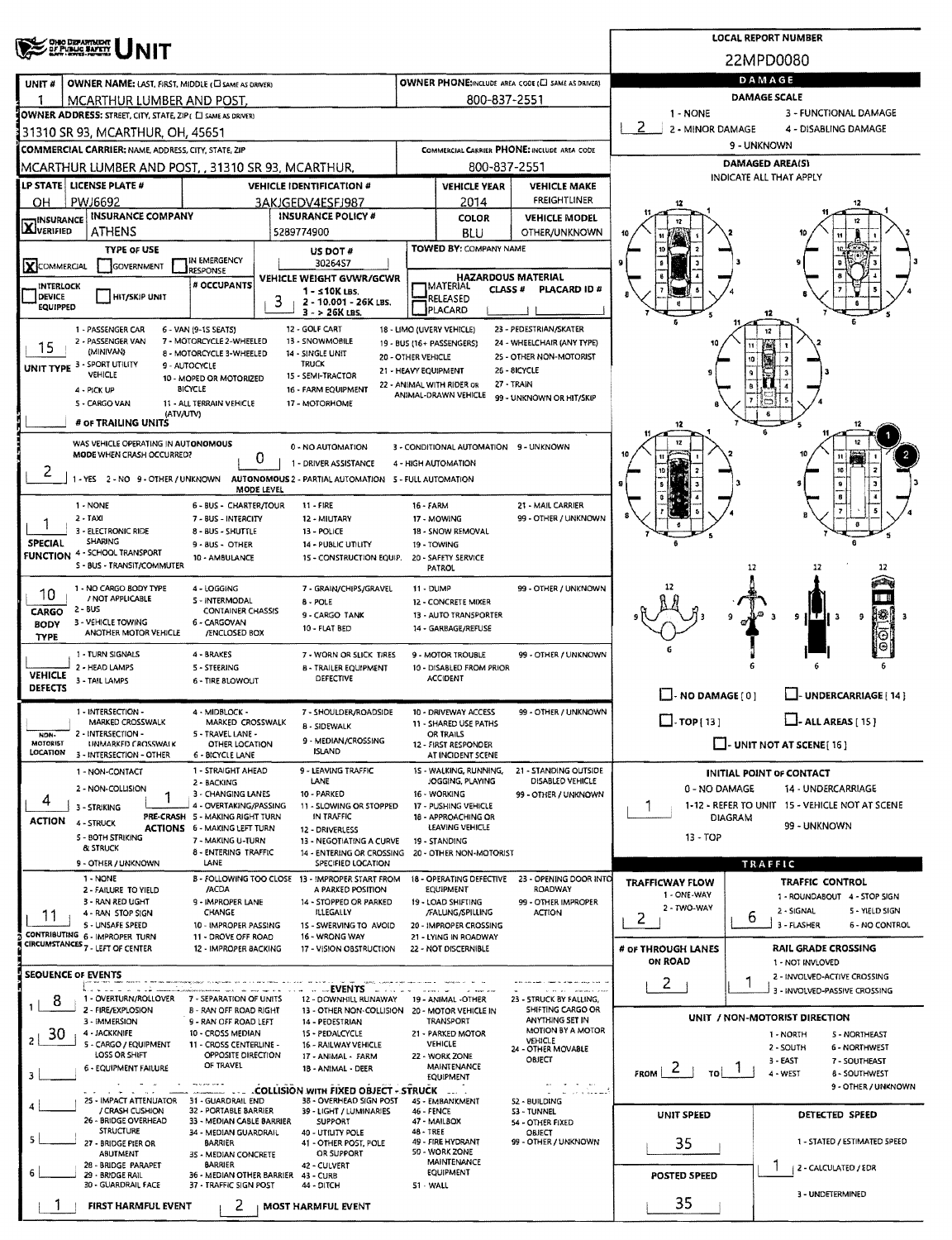| <b>OHO DEPARTMENT</b><br>OF PUBLIC SAFETY                                                                                                               |                                                                                                                                               |                                                   |                                                      |                                       | <b>LOCAL REPORT NUMBER</b>                                         |  |  |  |  |  |
|---------------------------------------------------------------------------------------------------------------------------------------------------------|-----------------------------------------------------------------------------------------------------------------------------------------------|---------------------------------------------------|------------------------------------------------------|---------------------------------------|--------------------------------------------------------------------|--|--|--|--|--|
|                                                                                                                                                         |                                                                                                                                               |                                                   |                                                      |                                       | 22MPD0080                                                          |  |  |  |  |  |
| <b>OWNER NAME: LAST, FIRST, MIDDLE (C) SAME AS DRIVER)</b><br>UNIT#                                                                                     |                                                                                                                                               |                                                   | OWNER PHONE; INCLUDE AREA CODE (E SAME AS DRIVER)    | DAMAGE                                |                                                                    |  |  |  |  |  |
| MCARTHUR LUMBER AND POST.                                                                                                                               | 800-837-2551                                                                                                                                  |                                                   |                                                      |                                       |                                                                    |  |  |  |  |  |
| OWNER ADDRESS: STREET, CITY, STATE, ZIP ( C SAME AS DRIVER)                                                                                             |                                                                                                                                               |                                                   |                                                      | $1 - NONE$                            | 3 - FUNCTIONAL DAMAGE                                              |  |  |  |  |  |
| 131310 SR 93, MCARTHUR, OH, 45651                                                                                                                       |                                                                                                                                               |                                                   |                                                      | 2 - MINOR DAMAGE                      | 4 - DISABLING DAMAGE                                               |  |  |  |  |  |
| <b>COMMERCIAL CARRIER; NAME, ADDRESS, CITY, STATE, ZIP</b>                                                                                              | 9 - UNKNOWN                                                                                                                                   |                                                   |                                                      |                                       |                                                                    |  |  |  |  |  |
| IMCARTHUR LUMBER AND POST, , 31310 SR 93, MCARTHUR,                                                                                                     | 800-837-2551                                                                                                                                  | DAMAGED AREA(S)<br><b>INDICATE ALL THAT APPLY</b> |                                                      |                                       |                                                                    |  |  |  |  |  |
| LP STATE   LICENSE PLATE #<br><b>VEHICLE IDENTIFICATION #</b>                                                                                           |                                                                                                                                               | <b>VEHICLE YEAR</b>                               | <b>VEHICLE MAKE</b>                                  |                                       |                                                                    |  |  |  |  |  |
| PWJ6692<br>OН<br>3AKJGEDV4ESFJ987                                                                                                                       |                                                                                                                                               | 2014                                              | <b>FREIGHTLINER</b>                                  |                                       |                                                                    |  |  |  |  |  |
| <b>INSURANCE COMPANY</b><br>INSURANCE POLICY #<br><b>INSURANCE</b><br><b>LAJVERIFIED</b><br><b>ATHENS</b><br>5289774900                                 |                                                                                                                                               | COLOR                                             | <b>VEHICLE MODEL</b><br>OTHER/UNKNOWN                |                                       |                                                                    |  |  |  |  |  |
| <b>TYPE OF USE</b>                                                                                                                                      |                                                                                                                                               | BLU<br>TOWED BY: COMPANY NAME                     |                                                      |                                       |                                                                    |  |  |  |  |  |
| US DOT #<br>IN EMERGENCY<br>3026457<br>X COMMERCIAL<br>GOVERNMENT                                                                                       |                                                                                                                                               |                                                   |                                                      |                                       |                                                                    |  |  |  |  |  |
| RESPONSE<br>VEHICLE WEIGHT GVWR/GCWR<br># OCCUPANTS<br>INTERLOCK                                                                                        |                                                                                                                                               | <b>HAZARDOUS MATERIAL</b><br><b>IMATERIAL</b>     |                                                      |                                       |                                                                    |  |  |  |  |  |
| 1 - s 10K LBS.<br>DEVICE<br>HIT/SKIP UNIT<br>3<br>2 - 10.001 - 26K LBS.                                                                                 |                                                                                                                                               | CLASS <sup>#</sup><br>RELEASED                    | <b>PLACARD ID #</b>                                  |                                       |                                                                    |  |  |  |  |  |
| <b>EQUIPPED</b><br>$3 - 26K$ LBS.                                                                                                                       |                                                                                                                                               | PLACARD                                           |                                                      |                                       | 12                                                                 |  |  |  |  |  |
| 12 - GOLF CART<br>1 - PASSENGER CAR<br>6 - VAN (9-1S SEATS)<br>2 - PASSENGER VAN<br>7 - MOTORCYCLE 2-WHEELED<br>13 - SNOWMOBILE                         | 18 - LIMO (UVERY VEHICLE)                                                                                                                     |                                                   | 23 - PEDESTRIAN/SKATER<br>24 - WHEELCHAIR (ANY TYPE) |                                       | 12                                                                 |  |  |  |  |  |
| 15<br>(MINIVAN)<br>8 - MOTORCYCLE 3-WHEELED<br>14 - SINGLE UNIT                                                                                         | 19 - BUS (16+ PASSENGERS)<br>20 - OTHER VEHICLE                                                                                               |                                                   | 25 - OTHER NON-MOTORIST                              |                                       | 10                                                                 |  |  |  |  |  |
| UNIT TYPE 3 - SPORT UTILITY<br><b>TRUCK</b><br>9 - AUTOCYCLE<br>VEHICLE<br>15 - SEMI-TRACTOR<br>10 - MOPED OR MOTORIZED                                 | 21 - HEAVY EQUIPMENT                                                                                                                          |                                                   | <b>26 - 8ICYCLE</b>                                  |                                       |                                                                    |  |  |  |  |  |
| <b>BICYCLE</b><br>16 - FARM EQUIPMENT<br>4 - PICK UP                                                                                                    | 22 - ANIMAL WITH RIDER OR                                                                                                                     | ANIMAL-DRAWN VEHICLE                              | 27 - TRAIN                                           |                                       |                                                                    |  |  |  |  |  |
| 5 - CARGO VAN<br>11 - ALL TERRAIN VEHICLE<br>17 - MOTORHOME<br>(ATV/UTV)                                                                                |                                                                                                                                               |                                                   | 99 - UNKNOWN OR HIT/SKIP                             |                                       |                                                                    |  |  |  |  |  |
| # OF TRAILING UNITS                                                                                                                                     |                                                                                                                                               |                                                   |                                                      |                                       |                                                                    |  |  |  |  |  |
| WAS VEHICLE OPERATING IN AUTONOMOUS<br>0 - NO AUTOMATION                                                                                                |                                                                                                                                               | 3 - CONDITIONAL AUTOMATION 9 - UNKNOWN            |                                                      |                                       |                                                                    |  |  |  |  |  |
| MODE WHEN CRASH OCCURRED?<br>0<br>1 - DRIVER ASSISTANCE                                                                                                 |                                                                                                                                               | 4 - HIGH AUTOMATION                               |                                                      |                                       |                                                                    |  |  |  |  |  |
| z<br>1 - YES 2 - NO 9 - OTHER / UNKNOWN AUTONOMOUS 2 - PARTIAL AUTOMATION 5 - FULL AUTOMATION                                                           |                                                                                                                                               |                                                   |                                                      |                                       |                                                                    |  |  |  |  |  |
| MODE LEVEL                                                                                                                                              |                                                                                                                                               |                                                   |                                                      |                                       |                                                                    |  |  |  |  |  |
| 11 - FIRE<br>1 - NONE<br>6 - BUS - CHARTER/TOUR<br>$2 - TAXI$<br>7 - BUS - INTERCITY<br>12 - MIUTARY                                                    | 16 - FARM                                                                                                                                     | 17 - MOWING                                       | 21 - MAIL CARRIER<br>99 - OTHER / UNKNOWN            |                                       |                                                                    |  |  |  |  |  |
| 3 - ELECTRONIC RIDE<br>13 - POLICE<br>8 - BUS - SHUTTLE                                                                                                 |                                                                                                                                               | 18 - SNOW REMOVAL                                 |                                                      |                                       |                                                                    |  |  |  |  |  |
| SHARING<br>SPECIAL<br>9 - BUS - OTHER<br>14 - PUBLIC UTILITY<br>FUNCTION 4 - SCHOOL TRANSPORT                                                           |                                                                                                                                               | 19 - TOWING                                       |                                                      |                                       |                                                                    |  |  |  |  |  |
| 15 - CONSTRUCTION EQUIP.<br>10 - AMBULANCE<br>S - BUS - TRANSIT/COMMUTER                                                                                |                                                                                                                                               | 20 - SAFETY SERVICE<br>PATROL                     |                                                      |                                       | 12                                                                 |  |  |  |  |  |
| 1 - NO CARGO BODY TYPE<br>4 - LOGGING<br>7 - GRAIN/CHIPS/GRAVEL                                                                                         | <b>11 - DUMP</b>                                                                                                                              |                                                   | 99 - OTHER / UNKNOWN                                 | 12                                    |                                                                    |  |  |  |  |  |
| 10<br>/ NOT APPLICABLE<br>5 - INTERMODAL<br>8 - POLE<br>$2 - 8US$<br><b>CONTAINER CHASSIS</b>                                                           |                                                                                                                                               | 12 - CONCRETE MIXER                               |                                                      |                                       |                                                                    |  |  |  |  |  |
| CARGO<br>9 - CARGO TANK<br>3 - VEHICLE TOWING<br>6 - CARGOVAN<br><b>BODY</b><br>10 - FLAT BED                                                           |                                                                                                                                               | 13 - AUTO TRANSPORTER<br>14 - GARBAGE/REFUSE      |                                                      |                                       | 9 I<br>- 3<br>9                                                    |  |  |  |  |  |
| ANOTHER MOTOR VEHICLE<br><b>/ENCLOSED BOX</b><br><b>TYPE</b>                                                                                            |                                                                                                                                               |                                                   |                                                      |                                       | Ю                                                                  |  |  |  |  |  |
| 1 - TURN SIGNALS<br>4 - BRAKES<br>7 - WORN OR SLICK TIRES                                                                                               |                                                                                                                                               | 9 - MOTOR TROUBLE                                 | 99 - OTHER / UNKNOWN                                 |                                       |                                                                    |  |  |  |  |  |
| 2 - HEAD LAMPS<br>5 - STEERING<br><b>B - TRAILER EQUIPMENT</b><br><b>VEHICLE</b><br>DEFECTIVE<br>3 - TAIL LAMPS<br>6 - TIRE BLOWOUT                     |                                                                                                                                               | 10 - DISABLED FROM PRIOR<br><b>ACCIDENT</b>       |                                                      |                                       |                                                                    |  |  |  |  |  |
| <b>DEFECTS</b>                                                                                                                                          |                                                                                                                                               |                                                   |                                                      | NO DAMAGE [0]                         | U-UNDERCARRIAGE [ 14 ]                                             |  |  |  |  |  |
| 1 - INTERSECTION -<br>4 - MIDBLOCK -<br>7 - SHOULDER/ROADSIDE                                                                                           |                                                                                                                                               | 10 - DRIVEWAY ACCESS                              | 99 - OTHER / UNKNOWN                                 | $\square$ - TOP [ 13 ]                |                                                                    |  |  |  |  |  |
| <b>B - SIDEWALK</b><br>2 - INTERSECTION -<br>5 - TRAVEL LANE -<br>NON-                                                                                  | MARKED CROSSWALK<br>MARKED CROSSWALK<br>11 - SHARED USE PATHS<br>OR TRAILS                                                                    |                                                   |                                                      |                                       | $\Box$ - ALL AREAS [ 15 ]                                          |  |  |  |  |  |
| 9 - MEDIAN/CROSSING<br>MOTORIST<br>UNMARKED CROSSWALK<br>OTHER LOCATION<br><b>ISLAND</b><br>LOCATION<br>3 - INTERSECTION - OTHER<br>6 - BICYCLE LANE    |                                                                                                                                               | 12 - FIRST RESPONDER<br>AT INCIDENT SCENE         |                                                      |                                       | $\Box$ - UNIT NOT AT SCENE [16]                                    |  |  |  |  |  |
| 9 - LEAVING TRAFFIC<br>1 - STRAIGHT AHEAD<br>1 - NON-CONTACT                                                                                            |                                                                                                                                               | 15 - WALKING, RUNNING,                            | 21 - STANDING OUTSIDE                                |                                       | <b>INITIAL POINT OF CONTACT</b>                                    |  |  |  |  |  |
| LANE<br>2 - BACKING<br>2 - NON-COLLISION                                                                                                                |                                                                                                                                               | JOGGING, PLAYING                                  | DISABLED VEHICLE                                     | 0 - NO DAMAGE                         | 14 UNDERCARRIAGE                                                   |  |  |  |  |  |
| 10 - PARKED<br>3 - CHANGING LANES<br>4<br>4 - OVERTAKING/PASSING<br>11 - SLOWING OR STOPPED<br>3 - STRIKING                                             |                                                                                                                                               | 16 - WORKING<br>17 - PUSHING VEHICLE              | 99 - OTHER / UNKNOWN                                 | F                                     | 1-12 - REFER TO UNIT 15 - VEHICLE NOT AT SCENE                     |  |  |  |  |  |
| PRE-CRASH 5 - MAKING RIGHT TURN<br>IN TRAFFIC<br><b>ACTION</b><br>4 - STRUCK                                                                            |                                                                                                                                               | 18 - APPROACHING OR<br>LEAVING VEHICLE            |                                                      | DIAGRAM                               | 99 - UNKNOWN                                                       |  |  |  |  |  |
| <b>ACTIONS</b> 6 - MAKING LEFT TURN<br>12 - DRIVERLESS<br>5 - BOTH STRIKING<br>7 - MAKING U-TURN<br>13 - NEGOTIATING A CURVE                            |                                                                                                                                               | 19 - STANDING                                     |                                                      | $13 - TOP$                            |                                                                    |  |  |  |  |  |
| <b>&amp; STRUCK</b><br>8 - ENTERING TRAFFIC<br>14 - ENTERING OR CROSSING<br>LANE                                                                        |                                                                                                                                               | 20 - OTHER NON-MOTORIST                           |                                                      |                                       |                                                                    |  |  |  |  |  |
| 9 - OTHER / UNKNOWN<br>SPECIFIED LOCATION<br>1 - NONE<br>B - FOLLOWING TOO CLOSE 13 - IMPROPER START FROM                                               |                                                                                                                                               | 18 - OPERATING DEFECTIVE                          | 23 - OPENING DOOR INTO                               |                                       | TRAFFIC<br><b>TRAFFIC CONTROL</b>                                  |  |  |  |  |  |
| /ACDA<br>A PARKED POSITION<br>2 - FAILURE TO YIELD                                                                                                      |                                                                                                                                               | <b>EQUIPMENT</b>                                  | ROADWAY                                              | <b>TRAFFICWAY FLOW</b><br>1 - ONE-WAY | 1 - ROUNDABOUT 4 - STOP SIGN                                       |  |  |  |  |  |
| 3 - RAN RED UGHT<br>9 - IMPROPER LANE<br>14 - STOPPED OR PARKED<br>CHANGE<br><b>ILLEGALLY</b><br>4 - RAN STOP SIGN<br>11                                |                                                                                                                                               | 19 - LOAD SHIFTING<br>/FALUNG/SPILLING            | 99 - OTHER IMPROPER<br><b>ACTION</b>                 | 2 - TWO-WAY<br>2                      | 2 - SIGNAL<br>5 - YIELD SIGN<br>6                                  |  |  |  |  |  |
| S - UNSAFE SPEED<br>10 - IMPROPER PASSING<br>15 - SWERVING TO AVOID<br>CONTRIBUTING 6 - IMPROPER TURN<br>11 - DROVE OFF ROAD<br>16 - WRONG WAY          |                                                                                                                                               | 20 - IMPROPER CROSSING                            |                                                      |                                       | 3 - FLASHER<br><b>6 - NO CONTROL</b>                               |  |  |  |  |  |
| CIRCUMSTANCES 7 - LEFT OF CENTER<br>12 - IMPROPER BACKING<br>17 - VISION OBSTRUCTION                                                                    |                                                                                                                                               | 21 LYING IN ROADWAY<br>22 - NOT DISCERNIBLE       |                                                      | # OF THROUGH LANES                    | <b>RAIL GRADE CROSSING</b>                                         |  |  |  |  |  |
|                                                                                                                                                         |                                                                                                                                               |                                                   |                                                      | <b>ON ROAD</b>                        | 1 - NOT INVLOVED                                                   |  |  |  |  |  |
| <b>SEQUENCE OF EVENTS</b><br><b>Comme EVENTS Constitution</b>                                                                                           |                                                                                                                                               |                                                   | the the second company of the                        | 2                                     | 2 - INVOLVED-ACTIVE CROSSING<br>1<br>3 - INVOLVED-PASSIVE CROSSING |  |  |  |  |  |
| 1 - OVERTURN/ROLLOVER<br>7 - SEPARATION OF UNITS<br>12 - DOWNHILL RUNAWAY 19 - ANIMAL -OTHER<br>8<br>2 - FIRE/EXPLOSION                                 |                                                                                                                                               |                                                   | 23 - STRUCK BY FALLING,<br>SHIFTING CARGO OR         |                                       |                                                                    |  |  |  |  |  |
| <b>B - RAN OFF ROAD RIGHT</b><br>13 - OTHER NON-COLLISION 20 - MOTOR VEHICLE IN<br>3 - IMMERSION<br>9 - RAN OFF ROAD LEFT<br>14 - PEOESTRIAN            |                                                                                                                                               | TRANSPORT                                         | ANYTHING SET IN                                      |                                       | UNIT / NON-MOTORIST DIRECTION                                      |  |  |  |  |  |
| 4 - JACKKNIFE<br>10 - CROSS MEDIAN<br>15 - PEDALCYCLE<br>30<br>$\mathbf{z}$<br>5 - CARGO / EQUIPMENT<br>11 - CROSS CENTERLINE -<br>16 - RAILWAY VEHICLE |                                                                                                                                               | 21 - PARKED MOTOR<br>VEHICLE                      | MOTION BY A MOTOR<br>VEHICLE                         |                                       | 1 - NORTH<br><b>S-NORTHEAST</b>                                    |  |  |  |  |  |
| LOSS OR SHIFT<br>OPPOSITE DIRECTION<br>17 - ANIMAL - FARM                                                                                               |                                                                                                                                               | 22 - WORK ZONE                                    | 24 - OTHER MOVABLE<br>OBJECT                         |                                       | 2 - SOUTH<br>6 - NORTHWEST<br>3 - EAST<br>7 - SOUTHEAST            |  |  |  |  |  |
| OF TRAVEL<br>6 - EQUIPMENT FAILURE<br>18 - ANIMAL - DEER<br>3                                                                                           |                                                                                                                                               | <b>MAINTENANCE</b><br><b>EQUIPMENT</b>            |                                                      | $F_{\rm ROM}$   2<br>TO I             | 4 - WEST<br><b>6 - SOUTHWEST</b>                                   |  |  |  |  |  |
| <b>COLLISION WITH FIXED OBJECT - STRUCK  </b>                                                                                                           |                                                                                                                                               |                                                   |                                                      |                                       | 9 - OTHER / UNKNOWN                                                |  |  |  |  |  |
| 38 - OVERHEAD SIGN POST<br>25 - IMPACT ATTENUATOR<br>31 - GUARDRAIL END<br>/ CRASH CUSHION<br>32 - PORTABLE BARRIER<br>39 - LIGHT / LUMINARIES          | 46 - FENCE                                                                                                                                    | 45 - EMBANKMENT                                   | 52 - BUILDING<br>53 - TUNNEL                         | <b>UNIT SPEED</b>                     | DETECTED SPEED                                                     |  |  |  |  |  |
| 26 - BRIDGE OVERHEAD<br>33 - MEDIAN CABLE BARRIER<br><b>SUPPORT</b><br><b>STRUCTURE</b><br>34 - MEDIAN GUARDRAIL<br>40 - UTILITY POLE                   | 48 - TREE                                                                                                                                     | 47 - MAILBOX                                      | 54 - OTHER FIXED<br>OBJECT                           |                                       |                                                                    |  |  |  |  |  |
| 5<br>27 - BRIDGE PIER OR<br><b>BARRIER</b>                                                                                                              | 49 - FIRE HYDRANT<br>99 - OTHER / UNKNOWN<br>41 - OTHER POST, POLE<br>50 - WORK ZONE<br><b>ABUTMENT</b><br>OR SUPPORT<br>35 - MEDIAN CONCRETE |                                                   |                                                      |                                       |                                                                    |  |  |  |  |  |
| 28 - BRIDGE PARAPET<br><b>BARRIER</b><br>42 - CULVERT                                                                                                   |                                                                                                                                               | <b>MAINTENANCE</b>                                |                                                      |                                       | 2 - CALCULATED / EDR                                               |  |  |  |  |  |
| 6<br>29 - BRIDGE RAIL<br>36 - MEDIAN OTHER BARRIER<br>43 - CURB<br>30 - GUARDRAIL FACE<br>37 - TRAFFIC SIGN POST<br>44 - DITCH                          | 51 - WALL                                                                                                                                     | <b>EQUIPMENT</b>                                  |                                                      | <b>POSTED SPEED</b>                   |                                                                    |  |  |  |  |  |
| 2<br><b>FIRST HARMFUL EVENT</b><br><b>MOST HARMFUL EVENT</b>                                                                                            |                                                                                                                                               |                                                   |                                                      | 35                                    | 3 - UNDETERMINED                                                   |  |  |  |  |  |
|                                                                                                                                                         |                                                                                                                                               |                                                   |                                                      |                                       |                                                                    |  |  |  |  |  |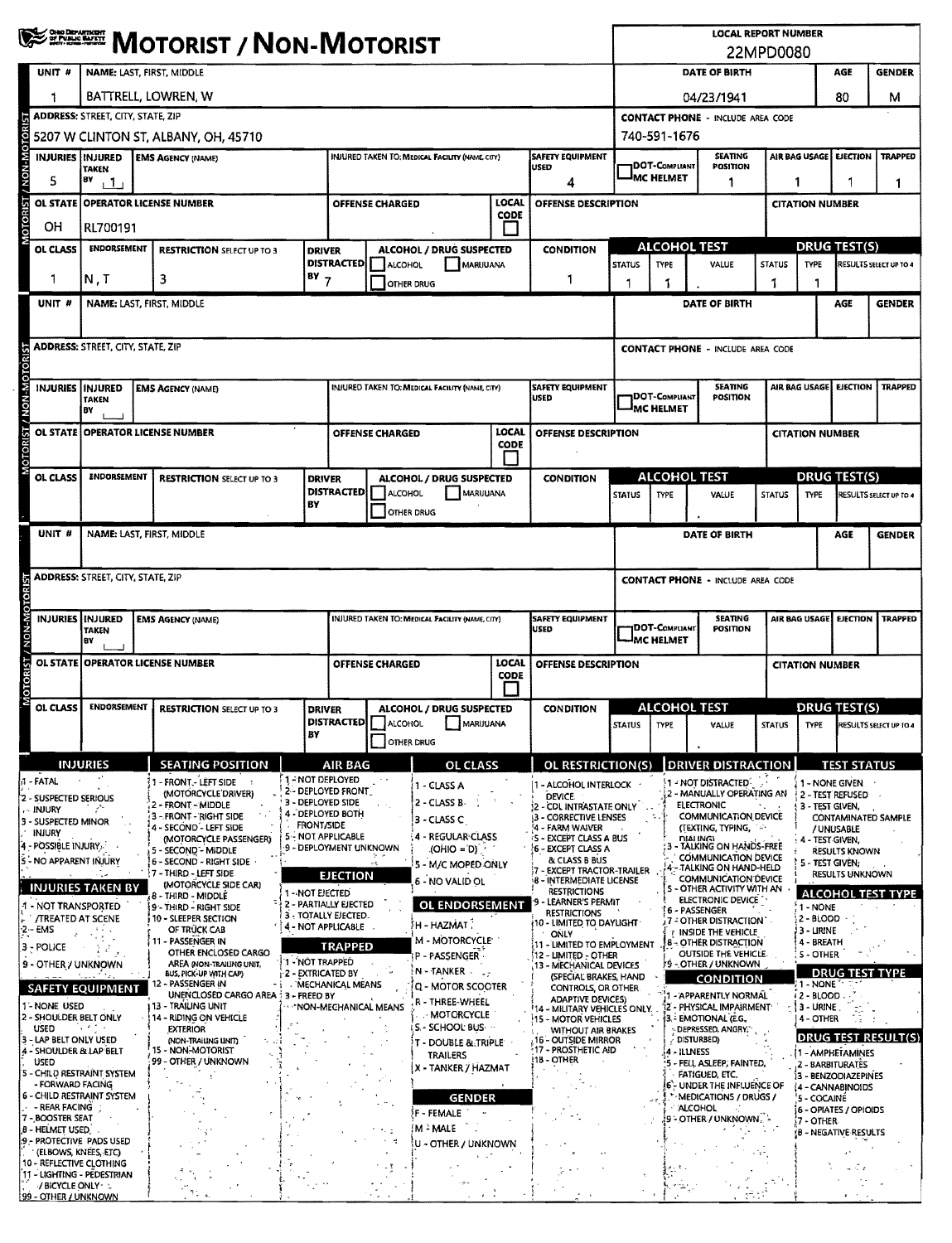|                                                      | <b>WE EXECTE MOTORIST / NON-MOTORIST</b>                                             |                                                           |                                                                                    |                                           |                             |                                                 |                        |                                                             | <b>LOCAL REPORT NUMBER</b><br>22MPD0080            |                                                    |                                                             |                                                          |                               |                                      |                                  |
|------------------------------------------------------|--------------------------------------------------------------------------------------|-----------------------------------------------------------|------------------------------------------------------------------------------------|-------------------------------------------|-----------------------------|-------------------------------------------------|------------------------|-------------------------------------------------------------|----------------------------------------------------|----------------------------------------------------|-------------------------------------------------------------|----------------------------------------------------------|-------------------------------|--------------------------------------|----------------------------------|
| UNIT <sup>#</sup>                                    | NAME: LAST, FIRST, MIDDLE                                                            |                                                           |                                                                                    |                                           |                             |                                                 |                        |                                                             |                                                    | DATE OF BIRTH<br>AGE<br><b>GENDER</b>              |                                                             |                                                          |                               |                                      |                                  |
| 1                                                    | BATTRELL, LOWREN, W                                                                  |                                                           |                                                                                    |                                           |                             |                                                 |                        |                                                             |                                                    | 04/23/1941                                         |                                                             |                                                          |                               | 80                                   | м                                |
|                                                      | <b>ADDRESS: STREET, CITY, STATE, ZIP</b><br><b>CONTACT PHONE - INCLUDE AREA CODE</b> |                                                           |                                                                                    |                                           |                             |                                                 |                        |                                                             |                                                    |                                                    |                                                             |                                                          |                               |                                      |                                  |
| 740-591-1676<br>5207 W CLINTON ST, ALBANY, OH, 45710 |                                                                                      |                                                           |                                                                                    |                                           |                             |                                                 |                        |                                                             |                                                    |                                                    |                                                             |                                                          |                               |                                      |                                  |
|                                                      | <b>INJURIES INJURED</b><br><b>TAKEN</b>                                              | <b>EMS AGENCY (NAME)</b>                                  | INJURED TAKEN TO: MEDICAL FACILITY (NAME, CITY)<br><b>SAFETY EQUIPMENT</b><br>USED |                                           |                             |                                                 | <b>DOT-COMPLIANT</b>   | <b>SEATING</b><br><b>POSITION</b>                           |                                                    | <b>TRAPPED</b><br>AIR BAG USAGE<br><b>EJECTION</b> |                                                             |                                                          |                               |                                      |                                  |
| 5                                                    | BY<br>$+1$                                                                           | 4                                                         |                                                                                    |                                           |                             |                                                 |                        |                                                             |                                                    | IMC HELMET<br>1                                    |                                                             |                                                          | 1<br>$\mathbf{1}$             |                                      |                                  |
| <b>OL STATE</b>                                      | <b>OPERATOR LICENSE NUMBER</b>                                                       |                                                           | OFFENSE DESCRIPTION                                                                |                                           |                             |                                                 | <b>CITATION NUMBER</b> |                                                             |                                                    |                                                    |                                                             |                                                          |                               |                                      |                                  |
| OН                                                   | <b>CODE</b><br>RL700191                                                              |                                                           |                                                                                    |                                           |                             |                                                 |                        |                                                             |                                                    |                                                    |                                                             |                                                          |                               |                                      |                                  |
| OL CLASS                                             | <b>ENDORSEMENT</b>                                                                   | <b>RESTRICTION SELECT UP TO 3</b>                         | <b>DRIVER</b>                                                                      |                                           | <b>DISTRACTED   ALCOHOL</b> | ALCOHOL / DRUG SUSPECTED<br>MARUUANA            |                        | <b>CONDITION</b>                                            | <b>STATUS</b>                                      | <b>TYPE</b>                                        | ALCOHOL TEST<br>VALUE                                       | <b>STATUS</b>                                            | TYPE                          | <b>DRUG TEST(S)</b>                  | <b>RESULTS SELECT UP TO 4</b>    |
|                                                      | N, T                                                                                 | $BY$ 7<br>3                                               |                                                                                    |                                           | <b>OTHER DRUG</b>           |                                                 |                        | 1.                                                          |                                                    |                                                    |                                                             |                                                          |                               |                                      |                                  |
| UNIT #                                               | NAME: LAST, FIRST, MIDDLE                                                            |                                                           |                                                                                    |                                           |                             |                                                 |                        |                                                             |                                                    |                                                    | DATE OF BIRTH                                               |                                                          |                               | AGE                                  | <b>GENDER</b>                    |
|                                                      |                                                                                      |                                                           |                                                                                    |                                           |                             |                                                 |                        |                                                             |                                                    |                                                    |                                                             |                                                          |                               |                                      |                                  |
|                                                      | <b>ADDRESS: STREET. CITY. STATE. ZIP</b>                                             |                                                           |                                                                                    |                                           |                             |                                                 |                        |                                                             |                                                    |                                                    | <b>CONTACT PHONE - INCLUDE AREA CODE</b>                    |                                                          |                               |                                      |                                  |
|                                                      | INJURIES INJURED                                                                     | <b>EMS AGENCY (NAME)</b>                                  |                                                                                    |                                           |                             | INJURED TAKEN TO: MEDICAL FACILITY (NAME, CITY) |                        | <b>SAFETY EQUIPMENT</b>                                     |                                                    |                                                    | <b>SEATING</b>                                              |                                                          |                               | AIR BAG USAGE EJECTION               | <b>TRAPPED</b>                   |
|                                                      | <b>TAKEN</b><br>B٧                                                                   |                                                           |                                                                                    |                                           |                             |                                                 |                        | <b>USED</b>                                                 |                                                    | <b>DOT-COMPLIANT</b><br><b>IMC HELMET</b>          | POSITION                                                    |                                                          |                               |                                      |                                  |
|                                                      | OL STATE   OPERATOR LICENSE NUMBER                                                   |                                                           |                                                                                    |                                           | <b>OFFENSE CHARGED</b>      |                                                 | <b>LOCAL</b>           | <b>OFFENSE DESCRIPTION</b>                                  |                                                    |                                                    |                                                             |                                                          | <b>CITATION NUMBER</b>        |                                      |                                  |
|                                                      |                                                                                      |                                                           |                                                                                    |                                           |                             |                                                 | CODE                   |                                                             |                                                    |                                                    |                                                             |                                                          |                               |                                      |                                  |
| OL CLASS                                             | ENDORSEMENT                                                                          | <b>RESTRICTION SELECT UP TO 3</b>                         | <b>DRIVER</b>                                                                      |                                           |                             | ALCOHOL / DRUG SUSPECTED                        |                        | <b>CONDITION</b>                                            |                                                    |                                                    | <b>ALCOHOL TEST</b>                                         |                                                          |                               | DRUG TEST(S)                         |                                  |
|                                                      |                                                                                      |                                                           | BΥ                                                                                 | <b>DISTRACTED</b>                         | ALCOHOL                     | MARUUANA<br><b>OTHER DRUG</b>                   |                        |                                                             | <b>STATUS</b>                                      | <b>TYPE</b>                                        | VALUE                                                       | <b>STATUS</b>                                            | <b>TYPE</b>                   |                                      | RESULTS SELECT UP TO 4           |
| UNIT #                                               | NAME: LAST, FIRST, MIDDLE                                                            |                                                           |                                                                                    |                                           |                             |                                                 |                        |                                                             |                                                    |                                                    | DATE OF BIRTH                                               |                                                          |                               | AGE                                  | <b>GENDER</b>                    |
|                                                      |                                                                                      |                                                           |                                                                                    |                                           |                             |                                                 |                        |                                                             |                                                    |                                                    |                                                             |                                                          |                               |                                      |                                  |
| <b>ADDRESS: STREET, CITY, STATE, ZIP</b>             |                                                                                      |                                                           |                                                                                    |                                           |                             |                                                 |                        |                                                             | <b>CONTACT PHONE - INCLUDE AREA CODE</b>           |                                                    |                                                             |                                                          |                               |                                      |                                  |
|                                                      |                                                                                      |                                                           |                                                                                    |                                           |                             |                                                 |                        |                                                             |                                                    |                                                    |                                                             |                                                          |                               |                                      |                                  |
|                                                      | <b>INJURIES IINJURED</b><br><b>TAKEN</b>                                             | <b>EMS AGENCY (NAME)</b>                                  |                                                                                    |                                           |                             | INJURED TAKEN TO: MEDICAL FACILITY (NAME, CITY) |                        | <b>SAFETY EQUIPMENT</b><br><b>USED</b>                      |                                                    | DOT-COMPLIANT                                      | <b>SEATING</b><br>POSITION                                  |                                                          |                               | AIR BAG USAGE EIECTION               | <b>TRAPPED</b>                   |
|                                                      | BY<br>OL STATE OPERATOR LICENSE NUMBER                                               |                                                           |                                                                                    |                                           |                             |                                                 | LOCAL                  |                                                             | - <sup>J</sup> MC HELMET                           |                                                    |                                                             |                                                          |                               |                                      |                                  |
|                                                      |                                                                                      |                                                           |                                                                                    |                                           | <b>OFFENSE CHARGED</b>      |                                                 | <b>CODE</b>            | OFFENSE DESCRIPTION                                         |                                                    |                                                    |                                                             |                                                          | <b>CITATION NUMBER</b>        |                                      |                                  |
| OL CLASS                                             | <b>ENDORSEMENT</b>                                                                   | <b>RESTRICTION SELECT UP TO 3</b>                         |                                                                                    | ALCOHOL / DRUG SUSPECTED<br><b>DRIVER</b> |                             |                                                 | <b>CONDITION</b>       |                                                             |                                                    | <b>ALCOHOL TEST</b>                                |                                                             | <b>DRUG TEST(S)</b>                                      |                               |                                      |                                  |
|                                                      |                                                                                      |                                                           | B٧                                                                                 |                                           |                             | <b>DISTRACTED</b> ALCOHOL MARIJUANA             |                        |                                                             |                                                    |                                                    | STATUS TYPE VALUE                                           |                                                          |                               |                                      | STATUS TYPE RESULTS SELECT UP TO |
|                                                      |                                                                                      |                                                           |                                                                                    |                                           | <b>OTHER DRUG</b>           |                                                 |                        |                                                             |                                                    |                                                    |                                                             |                                                          |                               |                                      |                                  |
| $\pi$ - FATAL                                        | <b>INJURIES</b><br>$\mathcal{A}^{\prime}$                                            | <b>SEATING POSITION</b><br>1 - FRONT - LEFT SIDE          | 1 - NOT DEPLOYED                                                                   | <b>AIR BAG</b>                            |                             | <b>OL CLASS</b><br>1 - CLASS A                  |                        | OL RESTRICTION(S)<br>1 - ALCOHOL INTERLOCK                  |                                                    |                                                    | <b>DRIVER DISTRACTION</b><br>1 - NOT DISTRACTED-            |                                                          |                               | <b>TEST STATUS</b><br>1 - NONE GIVEN |                                  |
| 2 - SUSPECTED SERIOUS                                |                                                                                      | (MOTORCYCLE DRIVER)<br>2 - FRONT - MIDDLE                 | 2 - DEPLOYED FRONT<br>3 - DEPLOYED SIDE                                            |                                           |                             | 2 - CLASS B.                                    |                        | <b>DEVICE</b><br>12 - CDL INTRASTATE ONLY                   |                                                    |                                                    | 2 - MANUALLY OPERATING AN<br><b>ELECTRONIC</b>              |                                                          | ( 3 - Test given,             | <b>2 - TEST REFUSED</b>              |                                  |
| INJURY<br>3 - SUSPECTED MINOR                        |                                                                                      | 3 - FRONT - RIGHT SIDE<br>4 - SECOND - LEFT SIDE          | 4 - DEPLOYED BOTH<br><b>FRONT/SIDE</b>                                             |                                           |                             | 3 - CLASS C                                     |                        | 3 - CORRECTIVE LENSES<br>4 - FARM WAIVER                    |                                                    |                                                    | <b>COMMUNICATION DEVICE</b><br>(TEXTING, TYPING,            |                                                          |                               | / UNUSABLE                           | <b>CONTAMINATED SAMPLE</b>       |
| <b>INJURY</b><br>- POSSIBLE INJURY. <sup>3</sup>     |                                                                                      | (MOTORCYCLE PASSENGER)<br>5 - SECOND - MIDDLE             | 5 - NOT APPLICABLE<br>9 - DEPLOYMENT UNKNOWN                                       |                                           |                             | 4 - REGULAR CLASS<br>(OHIO = D)                 |                        | S - EXCEPT CLASS A BUS<br><b>6 - EXCEPT CLASS A</b>         |                                                    |                                                    | <b>DIALING</b><br>- TALKING ON HANDS-FREE                   |                                                          | 4 - TEST GIVEN,               | <b>RESULTS KNOWN</b>                 |                                  |
| - NO APPARENT INJURY                                 |                                                                                      | 6 - SECOND - RIGHT SIDE<br>7 - THIRD - LEFT SIDE.         |                                                                                    |                                           | ÷4                          | 5 - M/C MOPED ONLY                              |                        | & CLASS B BUS<br>- EXCEPT TRACTOR-TRAILER                   |                                                    |                                                    | COMMUNICATION DEVICE<br>TALKING ON HAND-HELD                |                                                          | 5 - TEST GIVEN;               |                                      |                                  |
|                                                      | <b>INJURIES TAKEN BY</b>                                                             | (MOTORCYCLE SIDE CAR)                                     | 1-NOT EJECTED                                                                      | <b>EJECTION</b>                           |                             | 6 - NO VALID OL                                 |                        | 8 - INTERMEDIATE LICENSE<br><b>RESTRICTIONS</b>             |                                                    |                                                    | COMMUNICATION DEVICE<br>5 - OTHER ACTIVITY WITH AN          |                                                          |                               | <b>RESULTS UNKNOWN</b>               |                                  |
| 1 - NOT TRANSPORTED                                  |                                                                                      | 8 - THIRD - MIDDLE<br>9 - THIRD - RIGHT SIDE              | 2 - PARTIALLY EJECTED                                                              |                                           |                             | OL ENDORSEMENT                                  |                        | · LEARNER'S PERMIT<br><b>RESTRICTIONS</b>                   |                                                    |                                                    | ELECTRONIC DEVICE<br><b>6 - PASSENGER</b>                   |                                                          | : 1 - NONE                    |                                      | <b>ALCOHOL TEST TYPE</b>         |
| <b>/TREATED AT SCENE</b><br>-2 - EMS                 |                                                                                      | 10 - SLEEPER SECTION<br>OF TRUCK CAB                      | 3 - TOTALLY EJECTED.<br>4 - NOT APPLICABLE                                         |                                           |                             | FH - HAZMAT .                                   |                        | 10 - LIMITED TO DAYLIGHT                                    |                                                    |                                                    | 7 - OTHER DISTRACTION<br>T INSIDE THE VEHICLE               |                                                          | 2 - BLOOD<br>) 3 - LIRINE     |                                      |                                  |
| 3 - POLICE                                           |                                                                                      | 11 - PASSENGER IN                                         |                                                                                    | <b>TRAPPED</b>                            |                             | M - MOTORCYCLE                                  |                        | ONLY<br>11 - LIMITED TO EMPLOYMENT                          |                                                    |                                                    | <b>8 - OTHER DISTRACTION</b>                                |                                                          | 4 - BREATH                    |                                      |                                  |
| 9 - OTHER / UNKNOWN                                  |                                                                                      | OTHER ENCLOSED CARGO<br>AREA (NON-TRAILING UNIT,          | 1 - NOT TRAPPED                                                                    |                                           |                             | P - PASSENGER<br>$N - TANKER$                   |                        | 12 - LIMITED - OTHER<br>13 - MECHANICAL DEVICES             |                                                    |                                                    | OUTSIDE THE VEHICLE.<br>9 - OTHER / UNKNOWN                 |                                                          | <b>S-OTHER</b>                |                                      |                                  |
|                                                      | <b>SAFETY EQUIPMENT</b>                                                              | BUS, PICK-UP WITH CAP)<br>12 - PASSENGER IN               | -2 - EXTRICATED BY<br>MECHANICAL MEANS                                             |                                           |                             | <b>Q - MOTOR SCOOTER</b>                        |                        | (SPECIAL BRAKES, HAND<br>CONTROLS, OR OTHER                 |                                                    |                                                    | CONDITION                                                   |                                                          | 1 - NONE                      | <b>DRUG TEST TYPE</b>                |                                  |
| 1 - NONE USED                                        |                                                                                      | UNENCLOSED CARGO AREA 13 - FREED BY<br>13 - TRAILING UNIT | · NON-MECHANICAL MEANS                                                             |                                           |                             | R - THREE-WHEEL                                 |                        | <b>ADAPTIVE DEVICES)</b><br>'14 - MILITARY VEHICLES ONLY. . |                                                    |                                                    | - APPARENTLY NORMAL<br>2 - PHYSICAL IMPAIRMENT <sup>.</sup> |                                                          | i 2 - BLOOD<br>: 13 - URINE . |                                      |                                  |
| 2 - SHOULDER BELT ONLY<br>USED                       | .                                                                                    | 14 - RIDING ON VEHICLE<br><b>EXTERIOR</b>                 |                                                                                    |                                           |                             | - MOTORCYCLE<br>IS - SCHOOL BUS                 |                        | 15 - MOTOR VEHICLES<br>WITHOUT AIR BRAKES                   |                                                    |                                                    | 3 - EMOTIONAL (E.G.<br>- DEPRESSED, ANGRY,                  |                                                          | 4 - OTHER                     |                                      |                                  |
| 3 - LAP BELT ONLY USED<br>4 - SHOULDER & LAP BELT    |                                                                                      | (NON-TRAILING UNIT)<br>15 - NON-MOTORIST                  |                                                                                    |                                           |                             | T - DOUBLE & TRIPLE<br><b>TRAILERS</b>          |                        | , 16 - Outside Mirror<br>17 - PROSTHETIC AID                |                                                    |                                                    | DISTURBED)<br>4 - ILLNESS                                   |                                                          |                               | 1 - AMPHETAMINES                     | <b>DRUG TEST RESULT(S)</b>       |
| <b>USED</b>                                          | 5 - CHILD RESTRAINT SYSTEM                                                           | 99 - OTHER / UNKNOWN                                      |                                                                                    |                                           |                             | X - TANKER / HAZMAT                             |                        | 118 - OTHER                                                 |                                                    |                                                    | - FELL ASLEEP, FAINTED<br>FATIGUED, ETC.                    |                                                          |                               | 2 - BARBITURATES                     |                                  |
| - FORWARD FACING                                     | 6 - CHILD RESTRAINT SYSTEM                                                           |                                                           |                                                                                    | <b>GENDER</b>                             |                             |                                                 |                        |                                                             | 6- UNDER THE INFLUENCE OF<br>MEDICATIONS / DRUGS / |                                                    |                                                             | 13 - BENZODIAZEPINES<br>4 - CANNABINOIDS<br>'5 - COCAINE |                               |                                      |                                  |
| - REAR FACING<br>7 - BOOSTER SEAT                    |                                                                                      |                                                           |                                                                                    |                                           |                             | F - FEMALE)                                     |                        |                                                             |                                                    |                                                    | <b>ALCOHOL</b>                                              |                                                          |                               | 56 - OPIATES / OPIOIDS               |                                  |
| 8 - HELMET USED                                      |                                                                                      |                                                           |                                                                                    |                                           |                             | !M - MALE                                       |                        |                                                             |                                                    |                                                    | OTHER / UNKNOWN.                                            |                                                          | [7 - OTHER                    | <b>B - NEGATIVE RESULTS</b>          |                                  |
| (ELBOWS, KNEES, ETC)                                 | 9 - PROTECTIVE PADS USED                                                             |                                                           |                                                                                    |                                           |                             | U - OTHER / UNKNOWN                             |                        |                                                             |                                                    |                                                    |                                                             |                                                          |                               |                                      |                                  |
| 10 - REFLECTIVE CLOTHING                             | 11 - LIGHTING - PEDESTRIAN                                                           |                                                           |                                                                                    |                                           |                             |                                                 |                        |                                                             |                                                    |                                                    |                                                             |                                                          |                               |                                      |                                  |
| / BICYCLE ONLY - :<br>99 - OTHER / UNKNOWN           |                                                                                      |                                                           |                                                                                    |                                           |                             |                                                 |                        |                                                             |                                                    | ಗಡಿಸಿ                                              |                                                             |                                                          |                               |                                      |                                  |
|                                                      |                                                                                      |                                                           |                                                                                    |                                           |                             |                                                 |                        |                                                             |                                                    |                                                    |                                                             |                                                          |                               |                                      |                                  |